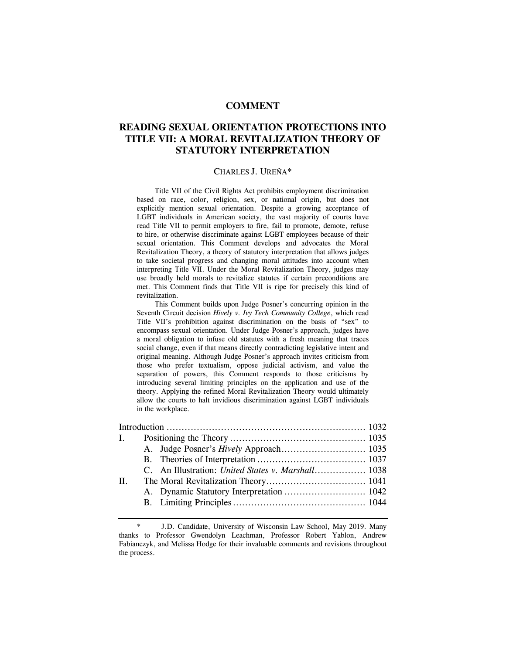# **COMMENT**

# **READING SEXUAL ORIENTATION PROTECTIONS INTO TITLE VII: A MORAL REVITALIZATION THEORY OF STATUTORY INTERPRETATION**

#### CHARLES J. UREÑA\*

 Title VII of the Civil Rights Act prohibits employment discrimination based on race, color, religion, sex, or national origin, but does not explicitly mention sexual orientation. Despite a growing acceptance of LGBT individuals in American society, the vast majority of courts have read Title VII to permit employers to fire, fail to promote, demote, refuse to hire, or otherwise discriminate against LGBT employees because of their sexual orientation. This Comment develops and advocates the Moral Revitalization Theory, a theory of statutory interpretation that allows judges to take societal progress and changing moral attitudes into account when interpreting Title VII. Under the Moral Revitalization Theory, judges may use broadly held morals to revitalize statutes if certain preconditions are met. This Comment finds that Title VII is ripe for precisely this kind of revitalization.

 This Comment builds upon Judge Posner's concurring opinion in the Seventh Circuit decision *Hively v. Ivy Tech Community College*, which read Title VII's prohibition against discrimination on the basis of "sex" to encompass sexual orientation. Under Judge Posner's approach, judges have a moral obligation to infuse old statutes with a fresh meaning that traces social change, even if that means directly contradicting legislative intent and original meaning. Although Judge Posner's approach invites criticism from those who prefer textualism, oppose judicial activism, and value the separation of powers, this Comment responds to those criticisms by introducing several limiting principles on the application and use of the theory. Applying the refined Moral Revitalization Theory would ultimately allow the courts to halt invidious discrimination against LGBT individuals in the workplace.

| I. <b>I.</b> |  |                                                           |  |
|--------------|--|-----------------------------------------------------------|--|
|              |  |                                                           |  |
|              |  |                                                           |  |
|              |  | C. An Illustration: <i>United States v. Marshall</i> 1038 |  |
| $\Pi$ .      |  |                                                           |  |
|              |  |                                                           |  |
|              |  |                                                           |  |
|              |  |                                                           |  |

<sup>\*</sup> J.D. Candidate, University of Wisconsin Law School, May 2019. Many thanks to Professor Gwendolyn Leachman, Professor Robert Yablon, Andrew Fabianczyk, and Melissa Hodge for their invaluable comments and revisions throughout the process.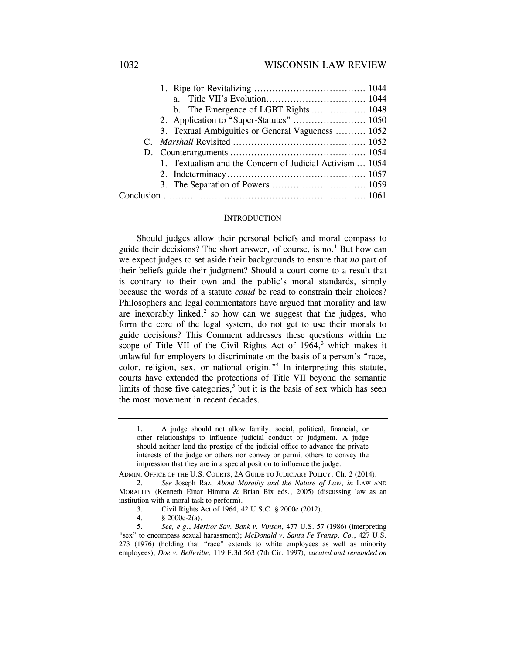| $a_{\cdot}$                                              |  |
|----------------------------------------------------------|--|
|                                                          |  |
| 2. Application to "Super-Statutes"  1050                 |  |
| 3. Textual Ambiguities or General Vagueness  1052        |  |
|                                                          |  |
|                                                          |  |
| 1. Textualism and the Concern of Judicial Activism  1054 |  |
|                                                          |  |
|                                                          |  |
|                                                          |  |

#### **INTRODUCTION**

Should judges allow their personal beliefs and moral compass to guide their decisions? The short answer, of course, is no.<sup>1</sup> But how can we expect judges to set aside their backgrounds to ensure that *no* part of their beliefs guide their judgment? Should a court come to a result that is contrary to their own and the public's moral standards, simply because the words of a statute *could* be read to constrain their choices? Philosophers and legal commentators have argued that morality and law are inexorably linked, $2$  so how can we suggest that the judges, who form the core of the legal system, do not get to use their morals to guide decisions? This Comment addresses these questions within the scope of Title VII of the Civil Rights Act of  $1964$ ,<sup>3</sup> which makes it unlawful for employers to discriminate on the basis of a person's "race, color, religion, sex, or national origin."4 In interpreting this statute, courts have extended the protections of Title VII beyond the semantic limits of those five categories,<sup>5</sup> but it is the basis of sex which has seen the most movement in recent decades.

4. § 2000e-2(a).

<sup>1.</sup> A judge should not allow family, social, political, financial, or other relationships to influence judicial conduct or judgment. A judge should neither lend the prestige of the judicial office to advance the private interests of the judge or others nor convey or permit others to convey the impression that they are in a special position to influence the judge.

ADMIN. OFFICE OF THE U.S. COURTS, 2A GUIDE TO JUDICIARY POLICY, Ch. 2 (2014).

 <sup>2.</sup> *See* Joseph Raz, *About Morality and the Nature of Law*, *in* LAW AND MORALITY (Kenneth Einar Himma & Brian Bix eds., 2005) (discussing law as an institution with a moral task to perform).

 <sup>3.</sup> Civil Rights Act of 1964, 42 U.S.C. § 2000e (2012).

 <sup>5.</sup> *See, e.g.*, *Meritor Sav. Bank v. Vinson*, 477 U.S. 57 (1986) (interpreting "sex" to encompass sexual harassment); *McDonald v. Santa Fe Transp. Co.*, 427 U.S. 273 (1976) (holding that "race" extends to white employees as well as minority employees); *Doe v. Belleville*, 119 F.3d 563 (7th Cir. 1997), *vacated and remanded on*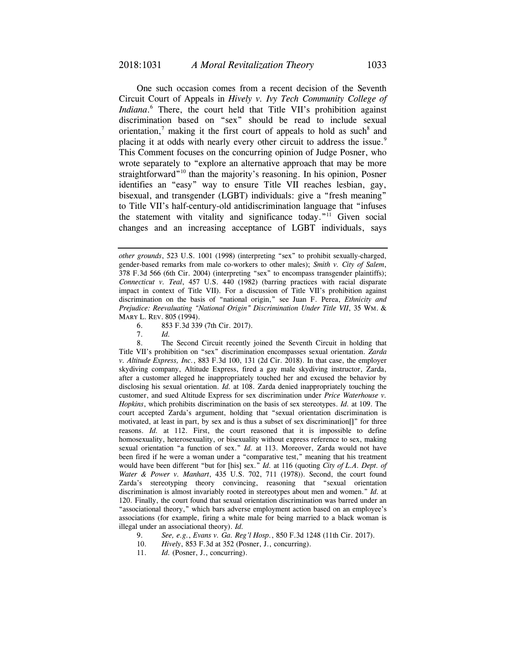One such occasion comes from a recent decision of the Seventh Circuit Court of Appeals in *Hively v. Ivy Tech Community College of Indiana*. 6 There, the court held that Title VII's prohibition against discrimination based on "sex" should be read to include sexual orientation,<sup>7</sup> making it the first court of appeals to hold as such<sup>8</sup> and placing it at odds with nearly every other circuit to address the issue.<sup>9</sup> This Comment focuses on the concurring opinion of Judge Posner, who wrote separately to "explore an alternative approach that may be more straightforward"<sup>10</sup> than the majority's reasoning. In his opinion, Posner identifies an "easy" way to ensure Title VII reaches lesbian, gay, bisexual, and transgender (LGBT) individuals: give a "fresh meaning" to Title VII's half-century-old antidiscrimination language that "infuses the statement with vitality and significance today."<sup>11</sup> Given social changes and an increasing acceptance of LGBT individuals, says

6. 853 F.3d 339 (7th Cir. 2017).

7. *Id.* 

 8. The Second Circuit recently joined the Seventh Circuit in holding that Title VII's prohibition on "sex" discrimination encompasses sexual orientation. *Zarda v. Altitude Express, Inc.*, 883 F.3d 100, 131 (2d Cir. 2018). In that case, the employer skydiving company, Altitude Express, fired a gay male skydiving instructor, Zarda, after a customer alleged he inappropriately touched her and excused the behavior by disclosing his sexual orientation. *Id.* at 108. Zarda denied inappropriately touching the customer, and sued Altitude Express for sex discrimination under *Price Waterhouse v. Hopkins*, which prohibits discrimination on the basis of sex stereotypes. *Id.* at 109. The court accepted Zarda's argument, holding that "sexual orientation discrimination is motivated, at least in part, by sex and is thus a subset of sex discrimination[]" for three reasons. *Id.* at 112. First, the court reasoned that it is impossible to define homosexuality, heterosexuality, or bisexuality without express reference to sex, making sexual orientation "a function of sex." *Id.* at 113. Moreover, Zarda would not have been fired if he were a woman under a "comparative test," meaning that his treatment would have been different "but for [his] sex." *Id.* at 116 (quoting *City of L.A. Dept. of Water & Power v. Manhart*, 435 U.S. 702, 711 (1978)). Second, the court found Zarda's stereotyping theory convincing, reasoning that "sexual orientation discrimination is almost invariably rooted in stereotypes about men and women." *Id.* at 120. Finally, the court found that sexual orientation discrimination was barred under an "associational theory," which bars adverse employment action based on an employee's associations (for example, firing a white male for being married to a black woman is illegal under an associational theory). *Id.*

- 9. *See, e.g.*, *Evans v. Ga. Reg'l Hosp.*, 850 F.3d 1248 (11th Cir. 2017).
- 10. *Hively*, 853 F.3d at 352 (Posner, J., concurring).
- 11. *Id.* (Posner, J., concurring).

*other grounds*, 523 U.S. 1001 (1998) (interpreting "sex" to prohibit sexually-charged, gender-based remarks from male co-workers to other males); *Smith v. City of Salem*, 378 F.3d 566 (6th Cir. 2004) (interpreting "sex" to encompass transgender plaintiffs); *Connecticut v. Teal*, 457 U.S. 440 (1982) (barring practices with racial disparate impact in context of Title VII). For a discussion of Title VII's prohibition against discrimination on the basis of "national origin," see Juan F. Perea, *Ethnicity and Prejudice: Reevaluating "National Origin" Discrimination Under Title VII*, 35 WM. & MARY L. REV. 805 (1994).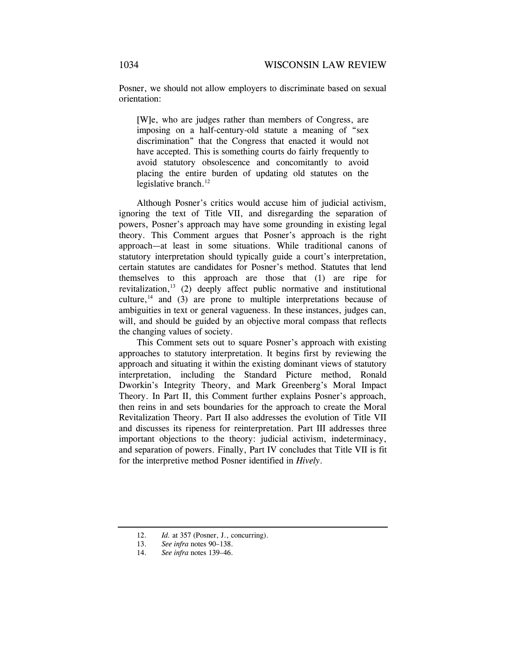Posner, we should not allow employers to discriminate based on sexual orientation:

[W]e, who are judges rather than members of Congress, are imposing on a half-century-old statute a meaning of "sex discrimination" that the Congress that enacted it would not have accepted. This is something courts do fairly frequently to avoid statutory obsolescence and concomitantly to avoid placing the entire burden of updating old statutes on the legislative branch. $^{12}$ 

Although Posner's critics would accuse him of judicial activism, ignoring the text of Title VII, and disregarding the separation of powers, Posner's approach may have some grounding in existing legal theory. This Comment argues that Posner's approach is the right approach—at least in some situations. While traditional canons of statutory interpretation should typically guide a court's interpretation, certain statutes are candidates for Posner's method. Statutes that lend themselves to this approach are those that (1) are ripe for revitalization, $13$  (2) deeply affect public normative and institutional culture,<sup>14</sup> and (3) are prone to multiple interpretations because of ambiguities in text or general vagueness. In these instances, judges can, will, and should be guided by an objective moral compass that reflects the changing values of society.

This Comment sets out to square Posner's approach with existing approaches to statutory interpretation. It begins first by reviewing the approach and situating it within the existing dominant views of statutory interpretation, including the Standard Picture method, Ronald Dworkin's Integrity Theory, and Mark Greenberg's Moral Impact Theory. In Part II, this Comment further explains Posner's approach, then reins in and sets boundaries for the approach to create the Moral Revitalization Theory. Part II also addresses the evolution of Title VII and discusses its ripeness for reinterpretation. Part III addresses three important objections to the theory: judicial activism, indeterminacy, and separation of powers. Finally, Part IV concludes that Title VII is fit for the interpretive method Posner identified in *Hively*.

 <sup>12.</sup> *Id.* at 357 (Posner, J., concurring).

 <sup>13.</sup> *See infra* notes 90–138.

 <sup>14.</sup> *See infra* notes 139–46.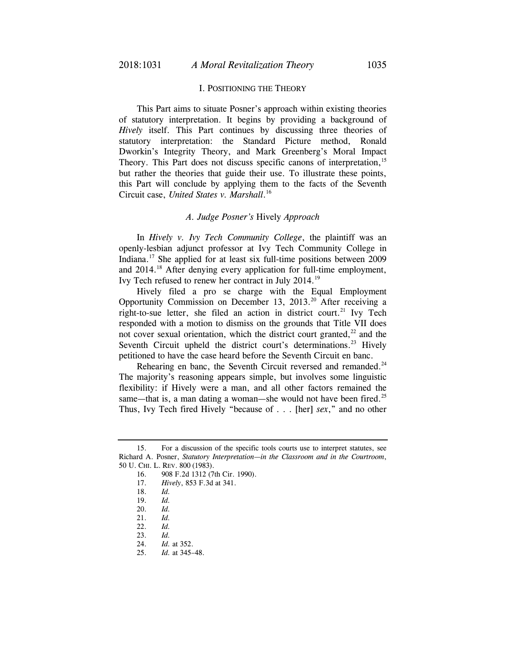### I. POSITIONING THE THEORY

This Part aims to situate Posner's approach within existing theories of statutory interpretation. It begins by providing a background of *Hively* itself. This Part continues by discussing three theories of statutory interpretation: the Standard Picture method, Ronald Dworkin's Integrity Theory, and Mark Greenberg's Moral Impact Theory. This Part does not discuss specific canons of interpretation,<sup>15</sup> but rather the theories that guide their use. To illustrate these points, this Part will conclude by applying them to the facts of the Seventh Circuit case, *United States v. Marshall*. 16

#### *A. Judge Posner's* Hively *Approach*

In *Hively v. Ivy Tech Community College*, the plaintiff was an openly-lesbian adjunct professor at Ivy Tech Community College in Indiana.17 She applied for at least six full-time positions between 2009 and 2014.<sup>18</sup> After denying every application for full-time employment, Ivy Tech refused to renew her contract in July 2014.19

Hively filed a pro se charge with the Equal Employment Opportunity Commission on December 13, 2013.20 After receiving a right-to-sue letter, she filed an action in district court.<sup>21</sup> Ivy Tech responded with a motion to dismiss on the grounds that Title VII does not cover sexual orientation, which the district court granted, $^{22}$  and the Seventh Circuit upheld the district court's determinations.<sup>23</sup> Hively petitioned to have the case heard before the Seventh Circuit en banc.

Rehearing en banc, the Seventh Circuit reversed and remanded.<sup>24</sup> The majority's reasoning appears simple, but involves some linguistic flexibility: if Hively were a man, and all other factors remained the same—that is, a man dating a woman—she would not have been fired.<sup>25</sup> Thus, Ivy Tech fired Hively "because of . . . [her] *sex*," and no other

 <sup>15.</sup> For a discussion of the specific tools courts use to interpret statutes, see Richard A. Posner, *Statutory Interpretation—in the Classroom and in the Courtroom*, 50 U. CHI. L. REV. 800 (1983).

 <sup>16. 908</sup> F.2d 1312 (7th Cir. 1990).

 <sup>17.</sup> *Hively*, 853 F.3d at 341.

 <sup>18.</sup> *Id.* 

 <sup>19.</sup> *Id.* 

 <sup>20.</sup> *Id.* 

 <sup>21.</sup> *Id.* 

 <sup>22.</sup> *Id.*

 <sup>23.</sup> *Id.*

 <sup>24.</sup> *Id.* at 352.

 <sup>25.</sup> *Id.* at 345–48.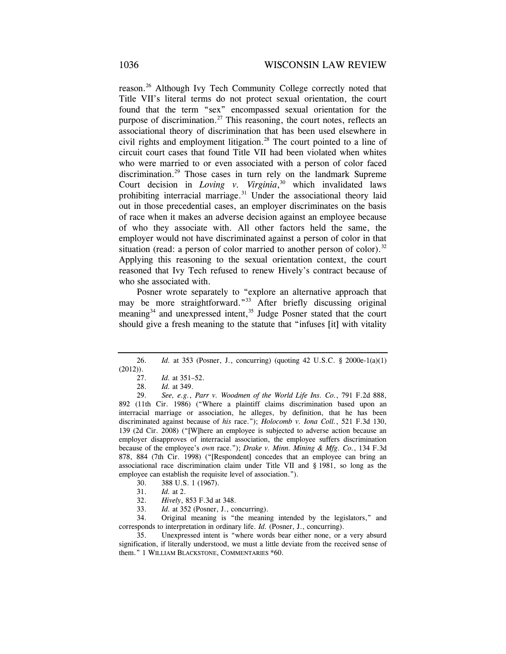reason.26 Although Ivy Tech Community College correctly noted that Title VII's literal terms do not protect sexual orientation, the court found that the term "sex" encompassed sexual orientation for the purpose of discrimination.<sup>27</sup> This reasoning, the court notes, reflects an associational theory of discrimination that has been used elsewhere in civil rights and employment litigation.<sup>28</sup> The court pointed to a line of circuit court cases that found Title VII had been violated when whites who were married to or even associated with a person of color faced discrimination.<sup>29</sup> Those cases in turn rely on the landmark Supreme Court decision in *Loving v. Virginia*, 30 which invalidated laws prohibiting interracial marriage. $31$  Under the associational theory laid out in those precedential cases, an employer discriminates on the basis of race when it makes an adverse decision against an employee because of who they associate with. All other factors held the same, the employer would not have discriminated against a person of color in that situation (read: a person of color married to another person of color).<sup>32</sup> Applying this reasoning to the sexual orientation context, the court reasoned that Ivy Tech refused to renew Hively's contract because of who she associated with.

Posner wrote separately to "explore an alternative approach that may be more straightforward."<sup>33</sup> After briefly discussing original meaning<sup>34</sup> and unexpressed intent,<sup>35</sup> Judge Posner stated that the court should give a fresh meaning to the statute that "infuses [it] with vitality

33. *Id.* at 352 (Posner, J., concurring).

 34. Original meaning is "the meaning intended by the legislators," and corresponds to interpretation in ordinary life. *Id.* (Posner, J., concurring).

 35. Unexpressed intent is "where words bear either none, or a very absurd signification, if literally understood, we must a little deviate from the received sense of them." 1 WILLIAM BLACKSTONE, COMMENTARIES \*60.

 <sup>26.</sup> *Id.* at 353 (Posner, J., concurring) (quoting 42 U.S.C. § 2000e-1(a)(1)  $(2012)$ ).

 <sup>27.</sup> *Id.* at 351–52.

 <sup>28.</sup> *Id.* at 349.

 <sup>29.</sup> *See, e.g.*, *Parr v. Woodmen of the World Life Ins. Co.*, 791 F.2d 888, 892 (11th Cir. 1986) ("Where a plaintiff claims discrimination based upon an interracial marriage or association, he alleges, by definition, that he has been discriminated against because of *his* race."); *Holocomb v. Iona Coll.*, 521 F.3d 130, 139 (2d Cir. 2008) ("[W]here an employee is subjected to adverse action because an employer disapproves of interracial association, the employee suffers discrimination because of the employee's *own* race."); *Drake v. Minn. Mining & Mfg. Co.*, 134 F.3d 878, 884 (7th Cir. 1998) ("[Respondent] concedes that an employee can bring an associational race discrimination claim under Title VII and § 1981, so long as the employee can establish the requisite level of association.").

 <sup>30. 388</sup> U.S. 1 (1967).

 <sup>31.</sup> *Id.* at 2.

 <sup>32.</sup> *Hively*, 853 F.3d at 348.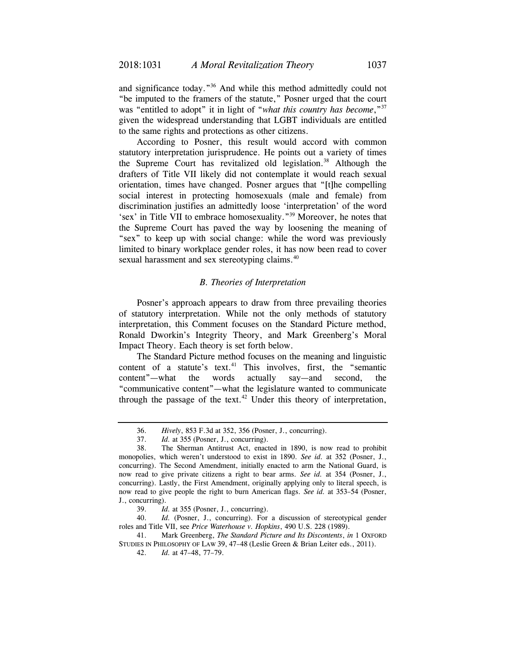and significance today."36 And while this method admittedly could not "be imputed to the framers of the statute," Posner urged that the court was "entitled to adopt" it in light of "*what this country has become*,"37 given the widespread understanding that LGBT individuals are entitled to the same rights and protections as other citizens.

According to Posner, this result would accord with common statutory interpretation jurisprudence. He points out a variety of times the Supreme Court has revitalized old legislation.<sup>38</sup> Although the drafters of Title VII likely did not contemplate it would reach sexual orientation, times have changed. Posner argues that "[t]he compelling social interest in protecting homosexuals (male and female) from discrimination justifies an admittedly loose 'interpretation' of the word 'sex' in Title VII to embrace homosexuality."39 Moreover, he notes that the Supreme Court has paved the way by loosening the meaning of "sex" to keep up with social change: while the word was previously limited to binary workplace gender roles, it has now been read to cover sexual harassment and sex stereotyping claims.<sup>40</sup>

### *B. Theories of Interpretation*

Posner's approach appears to draw from three prevailing theories of statutory interpretation. While not the only methods of statutory interpretation, this Comment focuses on the Standard Picture method, Ronald Dworkin's Integrity Theory, and Mark Greenberg's Moral Impact Theory. Each theory is set forth below.

The Standard Picture method focuses on the meaning and linguistic content of a statute's text. $41$  This involves, first, the "semantic content"—what the words actually say—and second, the "communicative content"—what the legislature wanted to communicate through the passage of the text.<sup>42</sup> Under this theory of interpretation,

 <sup>36.</sup> *Hively*, 853 F.3d at 352, 356 (Posner, J., concurring).

 <sup>37.</sup> *Id.* at 355 (Posner, J., concurring).

 <sup>38.</sup> The Sherman Antitrust Act, enacted in 1890, is now read to prohibit monopolies, which weren't understood to exist in 1890. *See id.* at 352 (Posner, J., concurring). The Second Amendment, initially enacted to arm the National Guard, is now read to give private citizens a right to bear arms. *See id.* at 354 (Posner, J., concurring). Lastly, the First Amendment, originally applying only to literal speech, is now read to give people the right to burn American flags. *See id.* at 353–54 (Posner, J., concurring).

 <sup>39.</sup> *Id.* at 355 (Posner, J., concurring).

 <sup>40.</sup> *Id.* (Posner, J., concurring). For a discussion of stereotypical gender roles and Title VII, see *Price Waterhouse v. Hopkins*, 490 U.S. 228 (1989).

 <sup>41.</sup> Mark Greenberg, *The Standard Picture and Its Discontents*, *in* 1 OXFORD STUDIES IN PHILOSOPHY OF LAW 39, 47–48 (Leslie Green & Brian Leiter eds., 2011).

 <sup>42.</sup> *Id.* at 47–48, 77–79.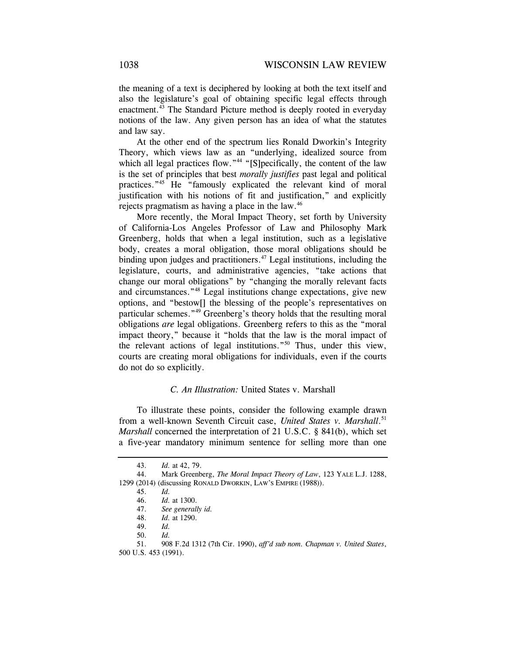the meaning of a text is deciphered by looking at both the text itself and also the legislature's goal of obtaining specific legal effects through enactment.<sup>43</sup> The Standard Picture method is deeply rooted in everyday notions of the law. Any given person has an idea of what the statutes and law say.

At the other end of the spectrum lies Ronald Dworkin's Integrity Theory, which views law as an "underlying, idealized source from which all legal practices flow."<sup>44</sup> "[S]pecifically, the content of the law is the set of principles that best *morally justifies* past legal and political practices."45 He "famously explicated the relevant kind of moral justification with his notions of fit and justification," and explicitly rejects pragmatism as having a place in the law.46

More recently, the Moral Impact Theory, set forth by University of California-Los Angeles Professor of Law and Philosophy Mark Greenberg, holds that when a legal institution, such as a legislative body, creates a moral obligation, those moral obligations should be binding upon judges and practitioners.<sup> $47$ </sup> Legal institutions, including the legislature, courts, and administrative agencies, "take actions that change our moral obligations" by "changing the morally relevant facts and circumstances."48 Legal institutions change expectations, give new options, and "bestow[] the blessing of the people's representatives on particular schemes."49 Greenberg's theory holds that the resulting moral obligations *are* legal obligations. Greenberg refers to this as the "moral impact theory," because it "holds that the law is the moral impact of the relevant actions of legal institutions."50 Thus, under this view, courts are creating moral obligations for individuals, even if the courts do not do so explicitly.

# *C. An Illustration:* United States v. Marshall

To illustrate these points, consider the following example drawn from a well-known Seventh Circuit case, *United States v. Marshall*. 51 *Marshall* concerned the interpretation of 21 U.S.C. § 841(b), which set a five-year mandatory minimum sentence for selling more than one

 <sup>43.</sup> *Id.* at 42, 79.

 <sup>44.</sup> Mark Greenberg, *The Moral Impact Theory of Law*, 123 YALE L.J. 1288, 1299 (2014) (discussing RONALD DWORKIN, LAW'S EMPIRE (1988)).

 <sup>45.</sup> *Id.*

 <sup>46.</sup> *Id.* at 1300.

 <sup>47.</sup> *See generally id.* 

 <sup>48.</sup> *Id.* at 1290.

 <sup>49.</sup> *Id.*

 <sup>50.</sup> *Id.* 

 <sup>51. 908</sup> F.2d 1312 (7th Cir. 1990), *aff'd sub nom. Chapman v. United States*, 500 U.S. 453 (1991).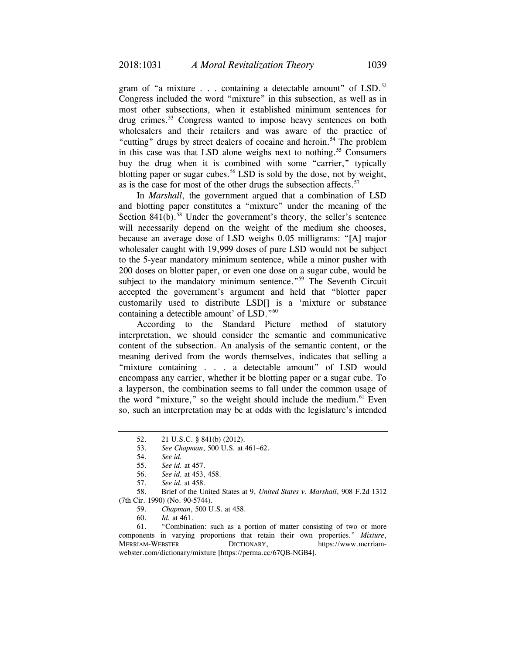gram of "a mixture  $\ldots$  containing a detectable amount" of LSD.<sup>52</sup> Congress included the word "mixture" in this subsection, as well as in most other subsections, when it established minimum sentences for drug crimes.<sup>53</sup> Congress wanted to impose heavy sentences on both wholesalers and their retailers and was aware of the practice of "cutting" drugs by street dealers of cocaine and heroin.<sup>54</sup> The problem in this case was that LSD alone weighs next to nothing.<sup>55</sup> Consumers buy the drug when it is combined with some "carrier," typically blotting paper or sugar cubes.<sup>56</sup> LSD is sold by the dose, not by weight, as is the case for most of the other drugs the subsection affects. $57$ 

In *Marshall*, the government argued that a combination of LSD and blotting paper constitutes a "mixture" under the meaning of the Section  $841(b)$ .<sup>58</sup> Under the government's theory, the seller's sentence will necessarily depend on the weight of the medium she chooses, because an average dose of LSD weighs 0.05 milligrams: "[A] major wholesaler caught with 19,999 doses of pure LSD would not be subject to the 5-year mandatory minimum sentence, while a minor pusher with 200 doses on blotter paper, or even one dose on a sugar cube, would be subject to the mandatory minimum sentence."<sup>59</sup> The Seventh Circuit accepted the government's argument and held that "blotter paper customarily used to distribute LSD[] is a 'mixture or substance containing a detectible amount' of LSD."<sup>60</sup>

According to the Standard Picture method of statutory interpretation, we should consider the semantic and communicative content of the subsection. An analysis of the semantic content, or the meaning derived from the words themselves, indicates that selling a "mixture containing . . . a detectable amount" of LSD would encompass any carrier, whether it be blotting paper or a sugar cube. To a layperson, the combination seems to fall under the common usage of the word "mixture," so the weight should include the medium. $61$  Even so, such an interpretation may be at odds with the legislature's intended

53. *See Chapman*, 500 U.S. at 461–62.

 58. Brief of the United States at 9, *United States v. Marshall*, 908 F.2d 1312 (7th Cir. 1990) (No. 90-5744).

- 59. *Chapman*, 500 U.S. at 458.
- 60. *Id.* at 461.

 61. "Combination: such as a portion of matter consisting of two or more components in varying proportions that retain their own properties." *Mixture*, MERRIAM-WEBSTER DICTIONARY, https://www.merriamwebster.com/dictionary/mixture [https://perma.cc/67QB-NGB4].

 <sup>52. 21</sup> U.S.C. § 841(b) (2012).

 <sup>54.</sup> *See id.*

 <sup>55.</sup> *See id.* at 457.

 <sup>56.</sup> *See id.* at 453, 458.

 <sup>57.</sup> *See id.* at 458.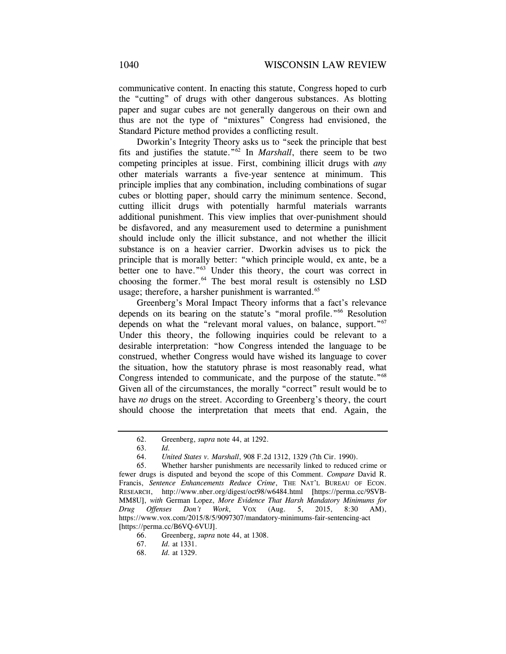communicative content. In enacting this statute, Congress hoped to curb the "cutting" of drugs with other dangerous substances. As blotting paper and sugar cubes are not generally dangerous on their own and thus are not the type of "mixtures" Congress had envisioned, the Standard Picture method provides a conflicting result.

Dworkin's Integrity Theory asks us to "seek the principle that best fits and justifies the statute."62 In *Marshall*, there seem to be two competing principles at issue. First, combining illicit drugs with *any* other materials warrants a five-year sentence at minimum. This principle implies that any combination, including combinations of sugar cubes or blotting paper, should carry the minimum sentence. Second, cutting illicit drugs with potentially harmful materials warrants additional punishment. This view implies that over-punishment should be disfavored, and any measurement used to determine a punishment should include only the illicit substance, and not whether the illicit substance is on a heavier carrier. Dworkin advises us to pick the principle that is morally better: "which principle would, ex ante, be a better one to have."<sup>63</sup> Under this theory, the court was correct in choosing the former.64 The best moral result is ostensibly no LSD usage; therefore, a harsher punishment is warranted.<sup>65</sup>

Greenberg's Moral Impact Theory informs that a fact's relevance depends on its bearing on the statute's "moral profile."<sup>66</sup> Resolution depends on what the "relevant moral values, on balance, support."<sup>67</sup> Under this theory, the following inquiries could be relevant to a desirable interpretation: "how Congress intended the language to be construed, whether Congress would have wished its language to cover the situation, how the statutory phrase is most reasonably read, what Congress intended to communicate, and the purpose of the statute.<sup>"68</sup> Given all of the circumstances, the morally "correct" result would be to have *no* drugs on the street. According to Greenberg's theory, the court should choose the interpretation that meets that end. Again, the

 <sup>62.</sup> Greenberg, *supra* note 44, at 1292.

 <sup>63.</sup> *Id.* 

 <sup>64.</sup> *United States v. Marshall*, 908 F.2d 1312, 1329 (7th Cir. 1990).

 <sup>65.</sup> Whether harsher punishments are necessarily linked to reduced crime or fewer drugs is disputed and beyond the scope of this Comment. *Compare* David R. Francis, *Sentence Enhancements Reduce Crime*, THE NAT'L BUREAU OF ECON. RESEARCH, http://www.nber.org/digest/oct98/w6484.html [https://perma.cc/9SVB-MM8U], *with* German Lopez, *More Evidence That Harsh Mandatory Minimums for Drug Offenses Don't Work*, VOX (Aug. 5, 2015, 8:30 AM), https://www.vox.com/2015/8/5/9097307/mandatory-minimums-fair-sentencing-act [https://perma.cc/B6VQ-6VUJ].

<sup>66.</sup> Greenberg, *supra* note 44, at 1308.

 <sup>67.</sup> *Id.* at 1331.

 <sup>68.</sup> *Id.* at 1329.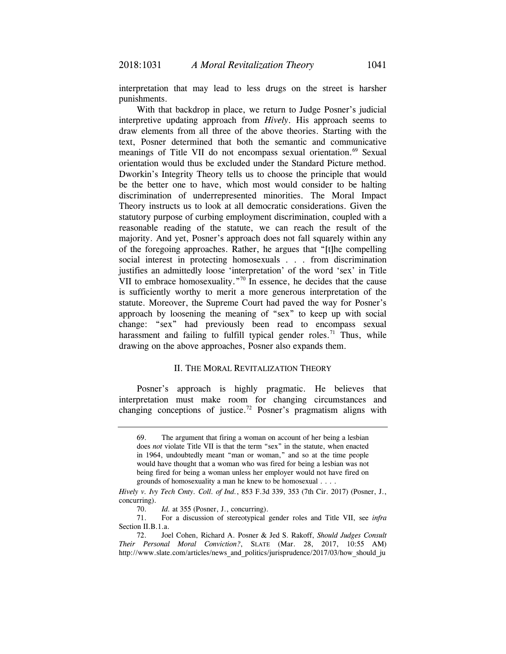interpretation that may lead to less drugs on the street is harsher punishments.

With that backdrop in place, we return to Judge Posner's judicial interpretive updating approach from *Hively*. His approach seems to draw elements from all three of the above theories. Starting with the text, Posner determined that both the semantic and communicative meanings of Title VII do not encompass sexual orientation.<sup>69</sup> Sexual orientation would thus be excluded under the Standard Picture method. Dworkin's Integrity Theory tells us to choose the principle that would be the better one to have, which most would consider to be halting discrimination of underrepresented minorities. The Moral Impact Theory instructs us to look at all democratic considerations. Given the statutory purpose of curbing employment discrimination, coupled with a reasonable reading of the statute, we can reach the result of the majority. And yet, Posner's approach does not fall squarely within any of the foregoing approaches. Rather, he argues that "[t]he compelling social interest in protecting homosexuals . . . from discrimination justifies an admittedly loose 'interpretation' of the word 'sex' in Title VII to embrace homosexuality."<sup>70</sup> In essence, he decides that the cause is sufficiently worthy to merit a more generous interpretation of the statute. Moreover, the Supreme Court had paved the way for Posner's approach by loosening the meaning of "sex" to keep up with social change: "sex" had previously been read to encompass sexual harassment and failing to fulfill typical gender roles.<sup>71</sup> Thus, while drawing on the above approaches, Posner also expands them.

# II. THE MORAL REVITALIZATION THEORY

Posner's approach is highly pragmatic. He believes that interpretation must make room for changing circumstances and changing conceptions of justice.72 Posner's pragmatism aligns with

<sup>69.</sup> The argument that firing a woman on account of her being a lesbian does *not* violate Title VII is that the term "sex" in the statute, when enacted in 1964, undoubtedly meant "man or woman," and so at the time people would have thought that a woman who was fired for being a lesbian was not being fired for being a woman unless her employer would not have fired on grounds of homosexuality a man he knew to be homosexual . . . .

*Hively v. Ivy Tech Cmty. Coll. of Ind.*, 853 F.3d 339, 353 (7th Cir. 2017) (Posner, J., concurring).

 <sup>70.</sup> *Id.* at 355 (Posner, J., concurring).

 <sup>71.</sup> For a discussion of stereotypical gender roles and Title VII, see *infra*  Section II.B.1.a.

 <sup>72.</sup> Joel Cohen, Richard A. Posner & Jed S. Rakoff, *Should Judges Consult Their Personal Moral Conviction?*, SLATE (Mar. 28, 2017, 10:55 AM) http://www.slate.com/articles/news and politics/jurisprudence/2017/03/how should ju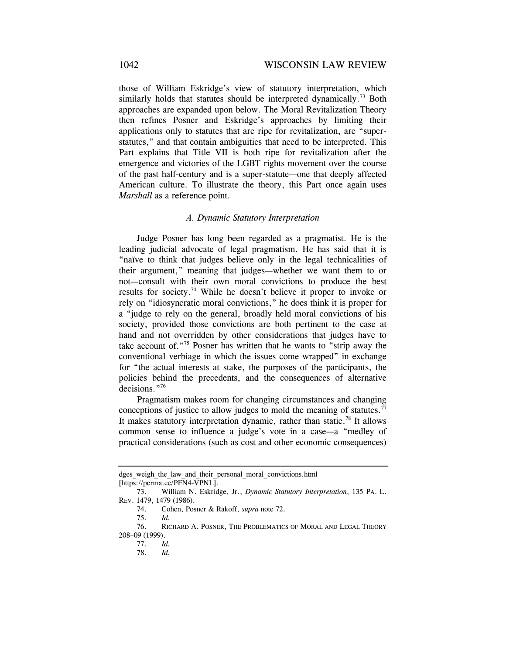those of William Eskridge's view of statutory interpretation, which similarly holds that statutes should be interpreted dynamically.<sup>73</sup> Both approaches are expanded upon below. The Moral Revitalization Theory then refines Posner and Eskridge's approaches by limiting their applications only to statutes that are ripe for revitalization, are "superstatutes," and that contain ambiguities that need to be interpreted. This Part explains that Title VII is both ripe for revitalization after the emergence and victories of the LGBT rights movement over the course of the past half-century and is a super-statute—one that deeply affected American culture. To illustrate the theory, this Part once again uses *Marshall* as a reference point.

# *A. Dynamic Statutory Interpretation*

Judge Posner has long been regarded as a pragmatist. He is the leading judicial advocate of legal pragmatism. He has said that it is "naïve to think that judges believe only in the legal technicalities of their argument," meaning that judges—whether we want them to or not—consult with their own moral convictions to produce the best results for society.74 While he doesn't believe it proper to invoke or rely on "idiosyncratic moral convictions," he does think it is proper for a "judge to rely on the general, broadly held moral convictions of his society, provided those convictions are both pertinent to the case at hand and not overridden by other considerations that judges have to take account of."75 Posner has written that he wants to "strip away the conventional verbiage in which the issues come wrapped" in exchange for "the actual interests at stake, the purposes of the participants, the policies behind the precedents, and the consequences of alternative decisions."<sup>76</sup>

Pragmatism makes room for changing circumstances and changing conceptions of justice to allow judges to mold the meaning of statutes.<sup>77</sup> It makes statutory interpretation dynamic, rather than static.<sup>78</sup> It allows common sense to influence a judge's vote in a case—a "medley of practical considerations (such as cost and other economic consequences)

dges weigh the law and their personal moral convictions.html [https://perma.cc/PFN4-VPNL].

 <sup>73.</sup> William N. Eskridge, Jr., *Dynamic Statutory Interpretation*, 135 PA. L. REV. 1479, 1479 (1986).

 <sup>74.</sup> Cohen, Posner & Rakoff, *supra* note 72.

 <sup>75.</sup> *Id.* 

 <sup>76.</sup> RICHARD A. POSNER, THE PROBLEMATICS OF MORAL AND LEGAL THEORY 208–09 (1999).

 <sup>77.</sup> *Id.* 

 <sup>78.</sup> *Id.*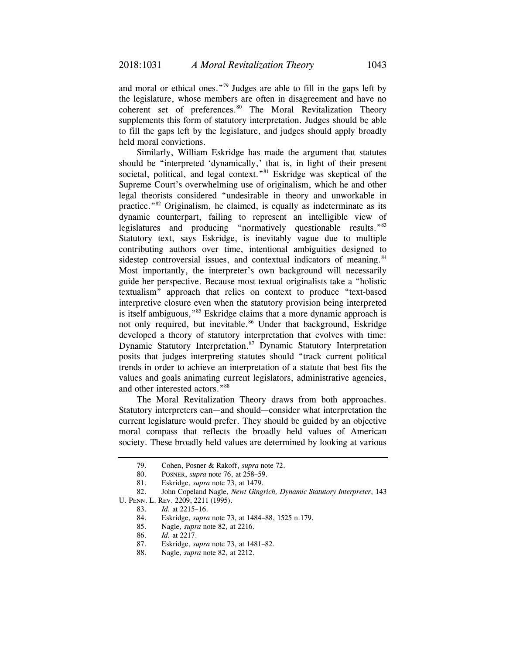and moral or ethical ones."79 Judges are able to fill in the gaps left by the legislature, whose members are often in disagreement and have no coherent set of preferences.<sup>80</sup> The Moral Revitalization Theory supplements this form of statutory interpretation. Judges should be able to fill the gaps left by the legislature, and judges should apply broadly held moral convictions.

Similarly, William Eskridge has made the argument that statutes should be "interpreted 'dynamically,' that is, in light of their present societal, political, and legal context."<sup>81</sup> Eskridge was skeptical of the Supreme Court's overwhelming use of originalism, which he and other legal theorists considered "undesirable in theory and unworkable in practice."82 Originalism, he claimed, is equally as indeterminate as its dynamic counterpart, failing to represent an intelligible view of legislatures and producing "normatively questionable results."83 Statutory text, says Eskridge, is inevitably vague due to multiple contributing authors over time, intentional ambiguities designed to sidestep controversial issues, and contextual indicators of meaning.<sup>84</sup> Most importantly, the interpreter's own background will necessarily guide her perspective. Because most textual originalists take a "holistic textualism" approach that relies on context to produce "text-based interpretive closure even when the statutory provision being interpreted is itself ambiguous,"<sup>85</sup> Eskridge claims that a more dynamic approach is not only required, but inevitable.<sup>86</sup> Under that background, Eskridge developed a theory of statutory interpretation that evolves with time: Dynamic Statutory Interpretation.<sup>87</sup> Dynamic Statutory Interpretation posits that judges interpreting statutes should "track current political trends in order to achieve an interpretation of a statute that best fits the values and goals animating current legislators, administrative agencies, and other interested actors."88

The Moral Revitalization Theory draws from both approaches. Statutory interpreters can—and should—consider what interpretation the current legislature would prefer. They should be guided by an objective moral compass that reflects the broadly held values of American society. These broadly held values are determined by looking at various

 <sup>79.</sup> Cohen, Posner & Rakoff, *supra* note 72.

 <sup>80.</sup> POSNER, *supra* note 76, at 258–59.

 <sup>81.</sup> Eskridge, *supra* note 73, at 1479.

 <sup>82.</sup> John Copeland Nagle, *Newt Gingrich, Dynamic Statutory Interpreter*, 143 U. PENN. L. REV. 2209, 2211 (1995).

 <sup>83.</sup> *Id.* at 2215–16.

 <sup>84.</sup> Eskridge, *supra* note 73, at 1484–88, 1525 n.179.

 <sup>85.</sup> Nagle, *supra* note 82, at 2216.

<sup>86.</sup> *Id.* at 2217.

<sup>87.</sup> Eskridge, *supra* note 73, at 1481–82.

 <sup>88.</sup> Nagle, *supra* note 82, at 2212.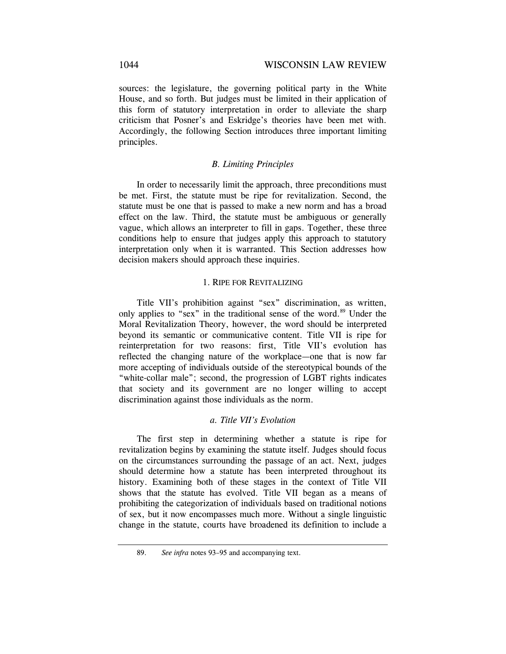sources: the legislature, the governing political party in the White House, and so forth. But judges must be limited in their application of this form of statutory interpretation in order to alleviate the sharp criticism that Posner's and Eskridge's theories have been met with. Accordingly, the following Section introduces three important limiting principles.

# *B. Limiting Principles*

In order to necessarily limit the approach, three preconditions must be met. First, the statute must be ripe for revitalization. Second, the statute must be one that is passed to make a new norm and has a broad effect on the law. Third, the statute must be ambiguous or generally vague, which allows an interpreter to fill in gaps. Together, these three conditions help to ensure that judges apply this approach to statutory interpretation only when it is warranted. This Section addresses how decision makers should approach these inquiries.

### 1. RIPE FOR REVITALIZING

Title VII's prohibition against "sex" discrimination, as written, only applies to "sex" in the traditional sense of the word.<sup>89</sup> Under the Moral Revitalization Theory, however, the word should be interpreted beyond its semantic or communicative content. Title VII is ripe for reinterpretation for two reasons: first, Title VII's evolution has reflected the changing nature of the workplace—one that is now far more accepting of individuals outside of the stereotypical bounds of the "white-collar male"; second, the progression of LGBT rights indicates that society and its government are no longer willing to accept discrimination against those individuals as the norm.

# *a. Title VII's Evolution*

The first step in determining whether a statute is ripe for revitalization begins by examining the statute itself. Judges should focus on the circumstances surrounding the passage of an act. Next, judges should determine how a statute has been interpreted throughout its history. Examining both of these stages in the context of Title VII shows that the statute has evolved. Title VII began as a means of prohibiting the categorization of individuals based on traditional notions of sex, but it now encompasses much more. Without a single linguistic change in the statute, courts have broadened its definition to include a

 <sup>89.</sup> *See infra* notes 93–95 and accompanying text.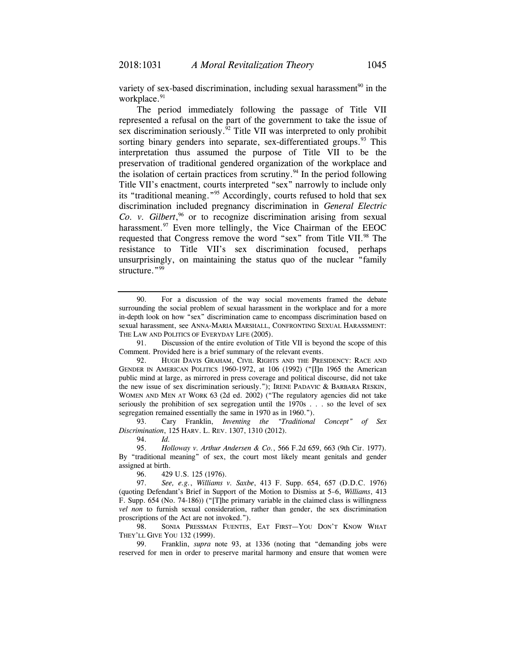variety of sex-based discrimination, including sexual harassment<sup>90</sup> in the workplace.<sup>91</sup>

The period immediately following the passage of Title VII represented a refusal on the part of the government to take the issue of sex discrimination seriously.<sup> $92$ </sup> Title VII was interpreted to only prohibit sorting binary genders into separate, sex-differentiated groups.  $93$  This interpretation thus assumed the purpose of Title VII to be the preservation of traditional gendered organization of the workplace and the isolation of certain practices from scrutiny. $94$  In the period following Title VII's enactment, courts interpreted "sex" narrowly to include only its "traditional meaning."95 Accordingly, courts refused to hold that sex discrimination included pregnancy discrimination in *General Electric Co. v. Gilbert*, 96 or to recognize discrimination arising from sexual harassment. $97$  Even more tellingly, the Vice Chairman of the EEOC requested that Congress remove the word "sex" from Title VII.<sup>98</sup> The resistance to Title VII's sex discrimination focused, perhaps unsurprisingly, on maintaining the status quo of the nuclear "family structure."<sup>99</sup>

 91. Discussion of the entire evolution of Title VII is beyond the scope of this Comment. Provided here is a brief summary of the relevant events.

 93. Cary Franklin, *Inventing the "Traditional Concept" of Sex Discrimination*, 125 HARV. L. REV. 1307, 1310 (2012).

94. *Id.*

96. 429 U.S. 125 (1976).

 98. SONIA PRESSMAN FUENTES, EAT FIRST—YOU DON'T KNOW WHAT THEY'LL GIVE YOU 132 (1999).

 99. Franklin, *supra* note 93, at 1336 (noting that "demanding jobs were reserved for men in order to preserve marital harmony and ensure that women were

 <sup>90.</sup> For a discussion of the way social movements framed the debate surrounding the social problem of sexual harassment in the workplace and for a more in-depth look on how "sex" discrimination came to encompass discrimination based on sexual harassment, see ANNA-MARIA MARSHALL, CONFRONTING SEXUAL HARASSMENT: THE LAW AND POLITICS OF EVERYDAY LIFE (2005).

 <sup>92.</sup> HUGH DAVIS GRAHAM, CIVIL RIGHTS AND THE PRESIDENCY: RACE AND GENDER IN AMERICAN POLITICS 1960-1972, at 106 (1992) ("[I]n 1965 the American public mind at large, as mirrored in press coverage and political discourse, did not take the new issue of sex discrimination seriously."); IRENE PADAVIC & BARBARA RESKIN, WOMEN AND MEN AT WORK 63 (2d ed. 2002) ("The regulatory agencies did not take seriously the prohibition of sex segregation until the 1970s . . . so the level of sex segregation remained essentially the same in 1970 as in 1960.").

 <sup>95.</sup> *Holloway v. Arthur Andersen & Co.*, 566 F.2d 659, 663 (9th Cir. 1977). By "traditional meaning" of sex, the court most likely meant genitals and gender assigned at birth.

 <sup>97.</sup> *See, e.g.*, *Williams v. Saxbe*, 413 F. Supp. 654, 657 (D.D.C. 1976) (quoting Defendant's Brief in Support of the Motion to Dismiss at 5–6, *Williams*, 413 F. Supp. 654 (No. 74-186)) ("[T]he primary variable in the claimed class is willingness *vel non* to furnish sexual consideration, rather than gender, the sex discrimination proscriptions of the Act are not invoked.").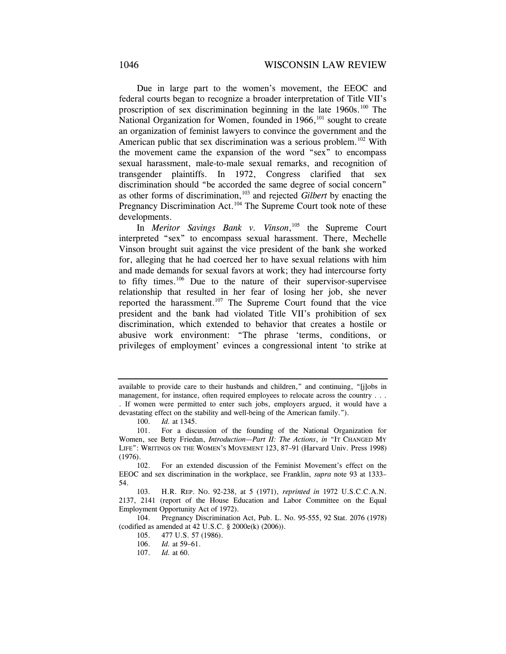Due in large part to the women's movement, the EEOC and federal courts began to recognize a broader interpretation of Title VII's proscription of sex discrimination beginning in the late  $1960s$ .<sup>100</sup> The National Organization for Women, founded in 1966,<sup>101</sup> sought to create an organization of feminist lawyers to convince the government and the American public that sex discrimination was a serious problem.<sup>102</sup> With the movement came the expansion of the word "sex" to encompass sexual harassment, male-to-male sexual remarks, and recognition of transgender plaintiffs. In 1972, Congress clarified that sex discrimination should "be accorded the same degree of social concern" as other forms of discrimination,103 and rejected *Gilbert* by enacting the Pregnancy Discrimination Act.<sup>104</sup> The Supreme Court took note of these developments.

In *Meritor Savings Bank v. Vinson*, 105 the Supreme Court interpreted "sex" to encompass sexual harassment. There, Mechelle Vinson brought suit against the vice president of the bank she worked for, alleging that he had coerced her to have sexual relations with him and made demands for sexual favors at work; they had intercourse forty to fifty times.<sup>106</sup> Due to the nature of their supervisor-supervisee relationship that resulted in her fear of losing her job, she never reported the harassment.<sup>107</sup> The Supreme Court found that the vice president and the bank had violated Title VII's prohibition of sex discrimination, which extended to behavior that creates a hostile or abusive work environment: "The phrase 'terms, conditions, or privileges of employment' evinces a congressional intent 'to strike at

 104. Pregnancy Discrimination Act, Pub. L. No. 95-555, 92 Stat. 2076 (1978) (codified as amended at 42 U.S.C. § 2000e(k) (2006)).

available to provide care to their husbands and children," and continuing, "[j]obs in management, for instance, often required employees to relocate across the country . . . . If women were permitted to enter such jobs, employers argued, it would have a

devastating effect on the stability and well-being of the American family.").

 <sup>100.</sup> *Id.* at 1345.

 <sup>101.</sup> For a discussion of the founding of the National Organization for Women, see Betty Friedan, *Introduction—Part II: The Actions*, *in* "IT CHANGED MY LIFE": WRITINGS ON THE WOMEN'S MOVEMENT 123, 87–91 (Harvard Univ. Press 1998) (1976).

 <sup>102.</sup> For an extended discussion of the Feminist Movement's effect on the EEOC and sex discrimination in the workplace, see Franklin, *supra* note 93 at 1333– 54.

 <sup>103.</sup> H.R. REP. NO. 92-238, at 5 (1971), *reprinted in* 1972 U.S.C.C.A.N. 2137, 2141 (report of the House Education and Labor Committee on the Equal Employment Opportunity Act of 1972).

 <sup>105. 477</sup> U.S. 57 (1986).

 <sup>106.</sup> *Id.* at 59–61.

 <sup>107.</sup> *Id.* at 60.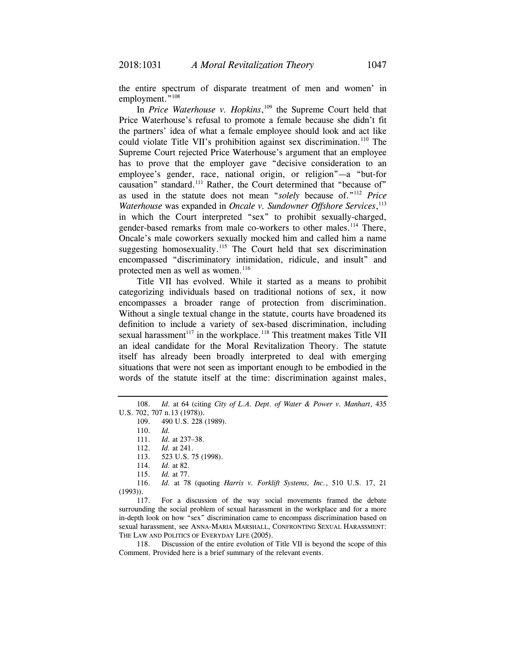the entire spectrum of disparate treatment of men and women' in employment."<sup>108</sup>

In *Price Waterhouse v. Hopkins*, 109 the Supreme Court held that Price Waterhouse's refusal to promote a female because she didn't fit the partners' idea of what a female employee should look and act like could violate Title VII's prohibition against sex discrimination.<sup>110</sup> The Supreme Court rejected Price Waterhouse's argument that an employee has to prove that the employer gave "decisive consideration to an employee's gender, race, national origin, or religion"—a "but-for causation" standard.<sup>111</sup> Rather, the Court determined that "because of" as used in the statute does not mean "*solely* because of."112 *Price Waterhouse* was expanded in *Oncale v. Sundowner Offshore Services*, 113 in which the Court interpreted "sex" to prohibit sexually-charged, gender-based remarks from male co-workers to other males.<sup>114</sup> There, Oncale's male coworkers sexually mocked him and called him a name suggesting homosexuality.<sup>115</sup> The Court held that sex discrimination encompassed "discriminatory intimidation, ridicule, and insult" and protected men as well as women.<sup>116</sup>

Title VII has evolved. While it started as a means to prohibit categorizing individuals based on traditional notions of sex, it now encompasses a broader range of protection from discrimination. Without a single textual change in the statute, courts have broadened its definition to include a variety of sex-based discrimination, including sexual harassment<sup>117</sup> in the workplace.<sup>118</sup> This treatment makes Title VII an ideal candidate for the Moral Revitalization Theory. The statute itself has already been broadly interpreted to deal with emerging situations that were not seen as important enough to be embodied in the words of the statute itself at the time: discrimination against males,

112. *Id.* at 241.

 116. *Id.* at 78 (quoting *Harris v. Forklift Systems, Inc.*, 510 U.S. 17, 21 (1993)).

 117. For a discussion of the way social movements framed the debate surrounding the social problem of sexual harassment in the workplace and for a more in-depth look on how "sex" discrimination came to encompass discrimination based on sexual harassment, see ANNA-MARIA MARSHALL, CONFRONTING SEXUAL HARASSMENT: THE LAW AND POLITICS OF EVERYDAY LIFE (2005).

 118. Discussion of the entire evolution of Title VII is beyond the scope of this Comment. Provided here is a brief summary of the relevant events.

 <sup>108.</sup> *Id.* at 64 (citing *City of L.A. Dept. of Water & Power v. Manhart*, 435 U.S. 702, 707 n.13 (1978)).

<sup>109. 490</sup> U.S. 228 (1989).

 <sup>110.</sup> *Id.* 

 <sup>111.</sup> *Id.* at 237–38.

 <sup>113. 523</sup> U.S. 75 (1998).

<sup>114.</sup> *Id.* at 82.

 <sup>115.</sup> *Id.* at 77.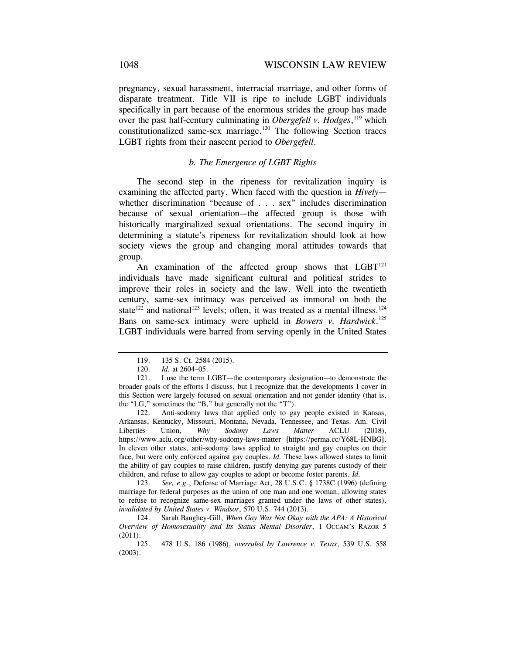pregnancy, sexual harassment, interracial marriage, and other forms of disparate treatment. Title VII is ripe to include LGBT individuals specifically in part because of the enormous strides the group has made over the past half-century culminating in *Obergefell v. Hodges*, 119 which constitutionalized same-sex marriage.<sup>120</sup> The following Section traces LGBT rights from their nascent period to *Obergefell*.

#### *b. The Emergence of LGBT Rights*

The second step in the ripeness for revitalization inquiry is examining the affected party. When faced with the question in *Hively* whether discrimination "because of . . . sex" includes discrimination because of sexual orientation—the affected group is those with historically marginalized sexual orientations. The second inquiry in determining a statute's ripeness for revitalization should look at how society views the group and changing moral attitudes towards that group.

An examination of the affected group shows that  $LGBT^{121}$ individuals have made significant cultural and political strides to improve their roles in society and the law. Well into the twentieth century, same-sex intimacy was perceived as immoral on both the state<sup>122</sup> and national<sup>123</sup> levels; often, it was treated as a mental illness.<sup>124</sup> Bans on same-sex intimacy were upheld in *Bowers v. Hardwick*. 125 LGBT individuals were barred from serving openly in the United States

 122. Anti-sodomy laws that applied only to gay people existed in Kansas, Arkansas, Kentucky, Missouri, Montana, Nevada, Tennessee, and Texas. Am. Civil Liberties Union, *Why Sodomy Laws Matter* ACLU (2018), https://www.aclu.org/other/why-sodomy-laws-matter [https://perma.cc/Y68L-HNBG]. In eleven other states, anti-sodomy laws applied to straight and gay couples on their face, but were only enforced against gay couples. *Id.* These laws allowed states to limit the ability of gay couples to raise children, justify denying gay parents custody of their children, and refuse to allow gay couples to adopt or become foster parents. *Id.*

 123. *See, e.g.*, Defense of Marriage Act, 28 U.S.C. § 1738C (1996) (defining marriage for federal purposes as the union of one man and one woman, allowing states to refuse to recognize same-sex marriages granted under the laws of other states), *invalidated by United States v. Windsor*, 570 U.S. 744 (2013).

124. Sarah Baughey-Gill, *When Gay Was Not Okay with the APA: A Historical Overview of Homosexuality and Its Status Mental Disorder*, 1 OCCAM'S RAZOR 5 (2011).

 125. 478 U.S. 186 (1986), *overruled by Lawrence v. Texas*, 539 U.S. 558 (2003).

 <sup>119. 135</sup> S. Ct. 2584 (2015).

 <sup>120.</sup> *Id.* at 2604–05.

 <sup>121.</sup> I use the term LGBT—the contemporary designation—to demonstrate the broader goals of the efforts I discuss, but I recognize that the developments I cover in this Section were largely focused on sexual orientation and not gender identity (that is, the "LG," sometimes the "B," but generally not the "T").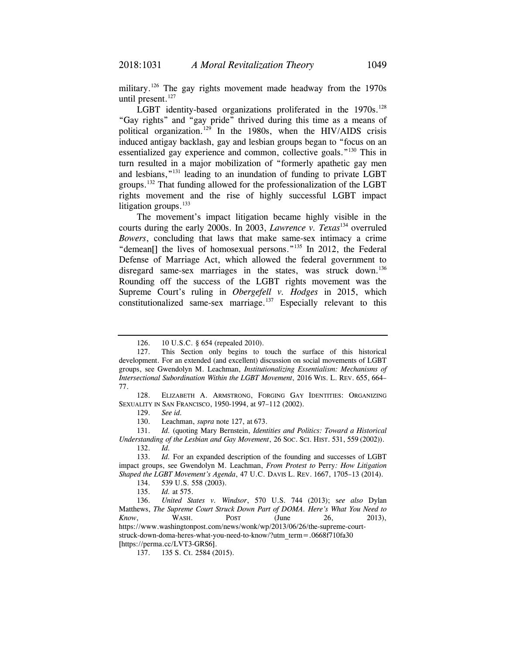military.<sup>126</sup> The gay rights movement made headway from the 1970s until present.<sup>127</sup>

LGBT identity-based organizations proliferated in the  $1970s$ .<sup>128</sup> "Gay rights" and "gay pride" thrived during this time as a means of political organization.129 In the 1980s, when the HIV/AIDS crisis induced antigay backlash, gay and lesbian groups began to "focus on an essentialized gay experience and common, collective goals."130 This in turn resulted in a major mobilization of "formerly apathetic gay men and lesbians,"131 leading to an inundation of funding to private LGBT groups.132 That funding allowed for the professionalization of the LGBT rights movement and the rise of highly successful LGBT impact litigation groups.<sup>133</sup>

The movement's impact litigation became highly visible in the courts during the early 2000s. In 2003, *Lawrence v. Texas*134 overruled *Bowers*, concluding that laws that make same-sex intimacy a crime "demean<sup>[]</sup> the lives of homosexual persons."<sup>135</sup> In 2012, the Federal Defense of Marriage Act, which allowed the federal government to disregard same-sex marriages in the states, was struck down.<sup>136</sup> Rounding off the success of the LGBT rights movement was the Supreme Court's ruling in *Obergefell v. Hodges* in 2015, which constitutionalized same-sex marriage. $137$  Especially relevant to this

130. Leachman, *supra* note 127, at 673.

 131. *Id.* (quoting Mary Bernstein, *Identities and Politics: Toward a Historical Understanding of the Lesbian and Gay Movement*, 26 SOC. SCI. HIST. 531, 559 (2002)). 132. *Id.*

<sup>126. 10</sup> U.S.C. § 654 (repealed 2010).

 <sup>127.</sup> This Section only begins to touch the surface of this historical development. For an extended (and excellent) discussion on social movements of LGBT groups, see Gwendolyn M. Leachman, *Institutionalizing Essentialism: Mechanisms of Intersectional Subordination Within the LGBT Movement*, 2016 WIS. L. REV. 655, 664– 77.

 <sup>128.</sup> ELIZABETH A. ARMSTRONG, FORGING GAY IDENTITIES: ORGANIZING SEXUALITY IN SAN FRANCISCO, 1950-1994, at 97–112 (2002).

 <sup>129.</sup> *See id.*

 <sup>133.</sup> *Id.* For an expanded description of the founding and successes of LGBT impact groups, see Gwendolyn M. Leachman, *From Protest to* Perry*: How Litigation Shaped the LGBT Movement's Agenda*, 47 U.C. DAVIS L. REV. 1667, 1705–13 (2014).

 <sup>134. 539</sup> U.S. 558 (2003).

 <sup>135.</sup> *Id.* at 575.

 <sup>136.</sup> *United States v. Windsor*, 570 U.S. 744 (2013); s*ee also* Dylan Matthews, *The Supreme Court Struck Down Part of DOMA. Here's What You Need to Know*, WASH. POST (June 26, 2013), https://www.washingtonpost.com/news/wonk/wp/2013/06/26/the-supreme-courtstruck-down-doma-heres-what-you-need-to-know/?utm\_term=.0668f710fa30 [https://perma.cc/LVT3-GRS6].

 <sup>137. 135</sup> S. Ct. 2584 (2015).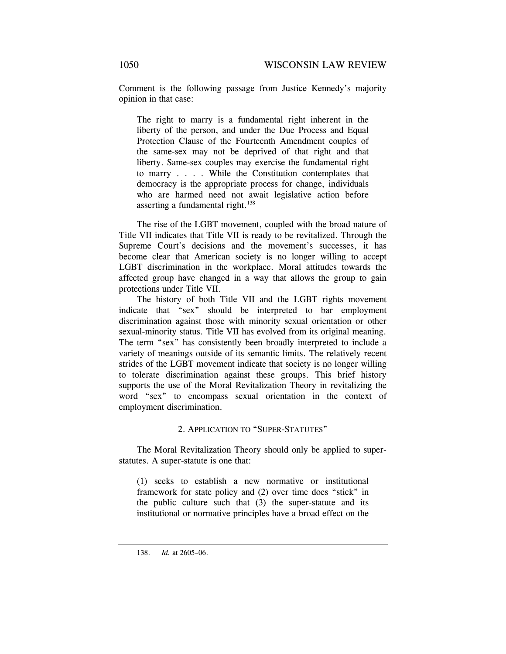Comment is the following passage from Justice Kennedy's majority opinion in that case:

The right to marry is a fundamental right inherent in the liberty of the person, and under the Due Process and Equal Protection Clause of the Fourteenth Amendment couples of the same-sex may not be deprived of that right and that liberty. Same-sex couples may exercise the fundamental right to marry . . . . While the Constitution contemplates that democracy is the appropriate process for change, individuals who are harmed need not await legislative action before asserting a fundamental right.<sup>138</sup>

The rise of the LGBT movement, coupled with the broad nature of Title VII indicates that Title VII is ready to be revitalized. Through the Supreme Court's decisions and the movement's successes, it has become clear that American society is no longer willing to accept LGBT discrimination in the workplace. Moral attitudes towards the affected group have changed in a way that allows the group to gain protections under Title VII.

The history of both Title VII and the LGBT rights movement indicate that "sex" should be interpreted to bar employment discrimination against those with minority sexual orientation or other sexual-minority status. Title VII has evolved from its original meaning. The term "sex" has consistently been broadly interpreted to include a variety of meanings outside of its semantic limits. The relatively recent strides of the LGBT movement indicate that society is no longer willing to tolerate discrimination against these groups. This brief history supports the use of the Moral Revitalization Theory in revitalizing the word "sex" to encompass sexual orientation in the context of employment discrimination.

# 2. APPLICATION TO "SUPER-STATUTES"

The Moral Revitalization Theory should only be applied to superstatutes. A super-statute is one that:

(1) seeks to establish a new normative or institutional framework for state policy and (2) over time does "stick" in the public culture such that (3) the super-statute and its institutional or normative principles have a broad effect on the

 <sup>138.</sup> *Id.* at 2605–06.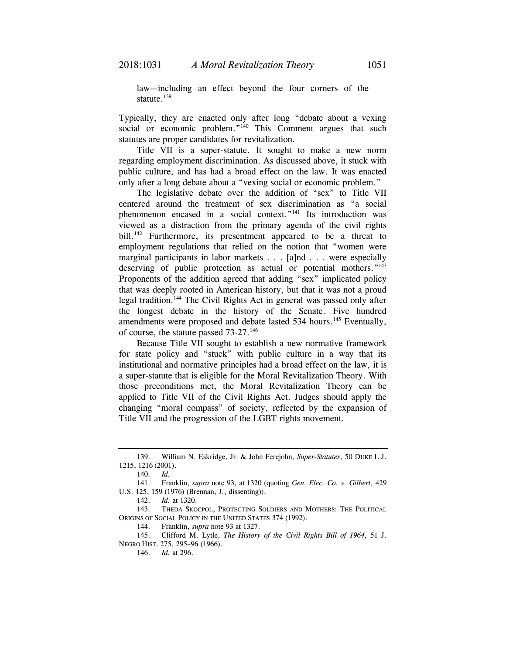law—including an effect beyond the four corners of the statute. $139$ 

Typically, they are enacted only after long "debate about a vexing social or economic problem."<sup>140</sup> This Comment argues that such statutes are proper candidates for revitalization.

Title VII is a super-statute. It sought to make a new norm regarding employment discrimination. As discussed above, it stuck with public culture, and has had a broad effect on the law. It was enacted only after a long debate about a "vexing social or economic problem."

The legislative debate over the addition of "sex" to Title VII centered around the treatment of sex discrimination as "a social phenomenon encased in a social context."141 Its introduction was viewed as a distraction from the primary agenda of the civil rights bill.<sup>142</sup> Furthermore, its presentment appeared to be a threat to employment regulations that relied on the notion that "women were marginal participants in labor markets . . . [a]nd . . . were especially deserving of public protection as actual or potential mothers."<sup>143</sup> Proponents of the addition agreed that adding "sex" implicated policy that was deeply rooted in American history, but that it was not a proud legal tradition.144 The Civil Rights Act in general was passed only after the longest debate in the history of the Senate. Five hundred amendments were proposed and debate lasted 534 hours.<sup>145</sup> Eventually, of course, the statute passed 73-27.<sup>146</sup>

Because Title VII sought to establish a new normative framework for state policy and "stuck" with public culture in a way that its institutional and normative principles had a broad effect on the law, it is a super-statute that is eligible for the Moral Revitalization Theory. With those preconditions met, the Moral Revitalization Theory can be applied to Title VII of the Civil Rights Act. Judges should apply the changing "moral compass" of society, reflected by the expansion of Title VII and the progression of the LGBT rights movement.

 <sup>139.</sup> William N. Eskridge, Jr. & John Ferejohn, *Super-Statutes*, 50 DUKE L.J. 1215, 1216 (2001).

 <sup>140.</sup> *Id.* 

 <sup>141.</sup> Franklin, *supra* note 93, at 1320 (quoting *Gen. Elec. Co. v. Gilbert*, 429 U.S. 125, 159 (1976) (Brennan, J., dissenting)).

 <sup>142.</sup> *Id.* at 1320.

 <sup>143.</sup> THEDA SKOCPOL, PROTECTING SOLDIERS AND MOTHERS: THE POLITICAL ORIGINS OF SOCIAL POLICY IN THE UNITED STATES 374 (1992).

 <sup>144.</sup> Franklin, *supra* note 93 at 1327.

<sup>145.</sup> Clifford M. Lytle, *The History of the Civil Rights Bill of 1964*, 51 J. NEGRO HIST. 275, 295–96 (1966).

<sup>146.</sup> *Id.* at 296.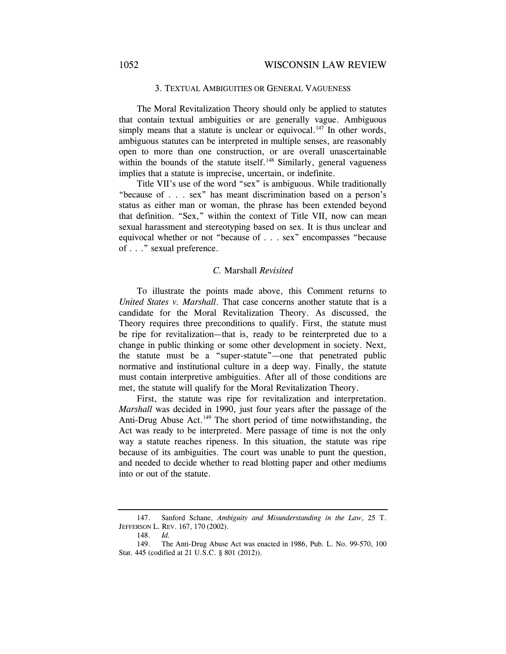#### 3. TEXTUAL AMBIGUITIES OR GENERAL VAGUENESS

The Moral Revitalization Theory should only be applied to statutes that contain textual ambiguities or are generally vague. Ambiguous simply means that a statute is unclear or equivocal.<sup>147</sup> In other words, ambiguous statutes can be interpreted in multiple senses, are reasonably open to more than one construction, or are overall unascertainable within the bounds of the statute itself.<sup>148</sup> Similarly, general vagueness implies that a statute is imprecise, uncertain, or indefinite.

Title VII's use of the word "sex" is ambiguous. While traditionally "because of . . . sex" has meant discrimination based on a person's status as either man or woman, the phrase has been extended beyond that definition. "Sex," within the context of Title VII, now can mean sexual harassment and stereotyping based on sex. It is thus unclear and equivocal whether or not "because of . . . sex" encompasses "because of . . ." sexual preference.

#### *C.* Marshall *Revisited*

To illustrate the points made above, this Comment returns to *United States v. Marshall*. That case concerns another statute that is a candidate for the Moral Revitalization Theory. As discussed, the Theory requires three preconditions to qualify. First, the statute must be ripe for revitalization—that is, ready to be reinterpreted due to a change in public thinking or some other development in society. Next, the statute must be a "super-statute"—one that penetrated public normative and institutional culture in a deep way. Finally, the statute must contain interpretive ambiguities. After all of those conditions are met, the statute will qualify for the Moral Revitalization Theory.

First, the statute was ripe for revitalization and interpretation. *Marshall* was decided in 1990, just four years after the passage of the Anti-Drug Abuse Act.<sup>149</sup> The short period of time notwithstanding, the Act was ready to be interpreted. Mere passage of time is not the only way a statute reaches ripeness. In this situation, the statute was ripe because of its ambiguities. The court was unable to punt the question, and needed to decide whether to read blotting paper and other mediums into or out of the statute.

 <sup>147.</sup> Sanford Schane, *Ambiguity and Misunderstanding in the Law*, 25 T. JEFFERSON L. REV. 167, 170 (2002).

 <sup>148.</sup> *Id.*

 <sup>149.</sup> The Anti-Drug Abuse Act was enacted in 1986, Pub. L. No. 99-570, 100 Stat. 445 (codified at 21 U.S.C. § 801 (2012)).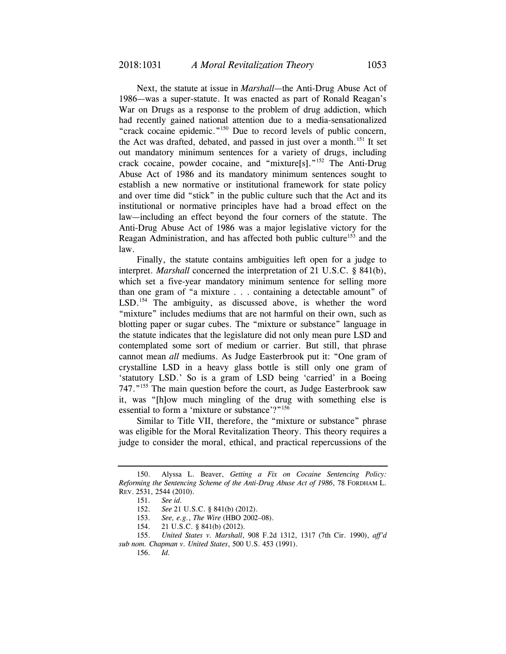Next, the statute at issue in *Marshall*—the Anti-Drug Abuse Act of 1986—was a super-statute. It was enacted as part of Ronald Reagan's War on Drugs as a response to the problem of drug addiction, which had recently gained national attention due to a media-sensationalized "crack cocaine epidemic."150 Due to record levels of public concern, the Act was drafted, debated, and passed in just over a month.<sup>151</sup> It set out mandatory minimum sentences for a variety of drugs, including crack cocaine, powder cocaine, and "mixture[s]."152 The Anti-Drug Abuse Act of 1986 and its mandatory minimum sentences sought to establish a new normative or institutional framework for state policy and over time did "stick" in the public culture such that the Act and its institutional or normative principles have had a broad effect on the law—including an effect beyond the four corners of the statute. The Anti-Drug Abuse Act of 1986 was a major legislative victory for the Reagan Administration, and has affected both public culture<sup>153</sup> and the law.

Finally, the statute contains ambiguities left open for a judge to interpret. *Marshall* concerned the interpretation of 21 U.S.C. § 841(b), which set a five-year mandatory minimum sentence for selling more than one gram of "a mixture . . . containing a detectable amount" of LSD.<sup>154</sup> The ambiguity, as discussed above, is whether the word "mixture" includes mediums that are not harmful on their own, such as blotting paper or sugar cubes. The "mixture or substance" language in the statute indicates that the legislature did not only mean pure LSD and contemplated some sort of medium or carrier. But still, that phrase cannot mean *all* mediums. As Judge Easterbrook put it: "One gram of crystalline LSD in a heavy glass bottle is still only one gram of 'statutory LSD.' So is a gram of LSD being 'carried' in a Boeing 747."155 The main question before the court, as Judge Easterbrook saw it, was "[h]ow much mingling of the drug with something else is essential to form a 'mixture or substance'?"<sup>156</sup>

Similar to Title VII, therefore, the "mixture or substance" phrase was eligible for the Moral Revitalization Theory. This theory requires a judge to consider the moral, ethical, and practical repercussions of the

 <sup>150.</sup> Alyssa L. Beaver, *Getting a Fix on Cocaine Sentencing Policy: Reforming the Sentencing Scheme of the Anti-Drug Abuse Act of 1986*, 78 FORDHAM L. REV. 2531, 2544 (2010).

 <sup>151.</sup> *See id.*

 <sup>152.</sup> *See* 21 U.S.C. § 841(b) (2012).

 <sup>153.</sup> *See, e.g.*, *The Wire* (HBO 2002–08).

 <sup>154. 21</sup> U.S.C. § 841(b) (2012).

 <sup>155.</sup> *United States v. Marshall*, 908 F.2d 1312, 1317 (7th Cir. 1990), *aff'd sub nom. Chapman v. United States*, 500 U.S. 453 (1991).

 <sup>156.</sup> *Id.*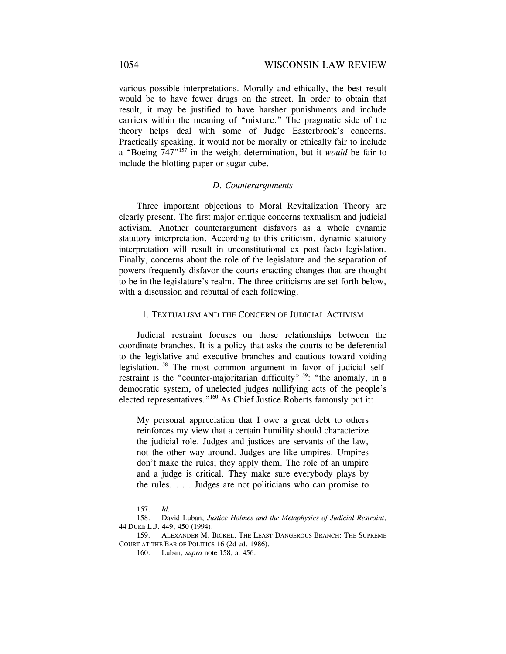various possible interpretations. Morally and ethically, the best result would be to have fewer drugs on the street. In order to obtain that result, it may be justified to have harsher punishments and include carriers within the meaning of "mixture." The pragmatic side of the theory helps deal with some of Judge Easterbrook's concerns. Practically speaking, it would not be morally or ethically fair to include a "Boeing 747"157 in the weight determination, but it *would* be fair to include the blotting paper or sugar cube.

### *D. Counterarguments*

Three important objections to Moral Revitalization Theory are clearly present. The first major critique concerns textualism and judicial activism. Another counterargument disfavors as a whole dynamic statutory interpretation. According to this criticism, dynamic statutory interpretation will result in unconstitutional ex post facto legislation. Finally, concerns about the role of the legislature and the separation of powers frequently disfavor the courts enacting changes that are thought to be in the legislature's realm. The three criticisms are set forth below, with a discussion and rebuttal of each following.

#### 1. TEXTUALISM AND THE CONCERN OF JUDICIAL ACTIVISM

Judicial restraint focuses on those relationships between the coordinate branches. It is a policy that asks the courts to be deferential to the legislative and executive branches and cautious toward voiding legislation.<sup>158</sup> The most common argument in favor of judicial selfrestraint is the "counter-majoritarian difficulty"<sup>159</sup>: "the anomaly, in a democratic system, of unelected judges nullifying acts of the people's elected representatives."160 As Chief Justice Roberts famously put it:

My personal appreciation that I owe a great debt to others reinforces my view that a certain humility should characterize the judicial role. Judges and justices are servants of the law, not the other way around. Judges are like umpires. Umpires don't make the rules; they apply them. The role of an umpire and a judge is critical. They make sure everybody plays by the rules. . . . Judges are not politicians who can promise to

<sup>157.</sup> *Id.*

 <sup>158.</sup> David Luban, *Justice Holmes and the Metaphysics of Judicial Restraint*, 44 DUKE L.J. 449, 450 (1994).

 <sup>159.</sup> ALEXANDER M. BICKEL, THE LEAST DANGEROUS BRANCH: THE SUPREME COURT AT THE BAR OF POLITICS 16 (2d ed. 1986).

 <sup>160.</sup> Luban, *supra* note 158, at 456.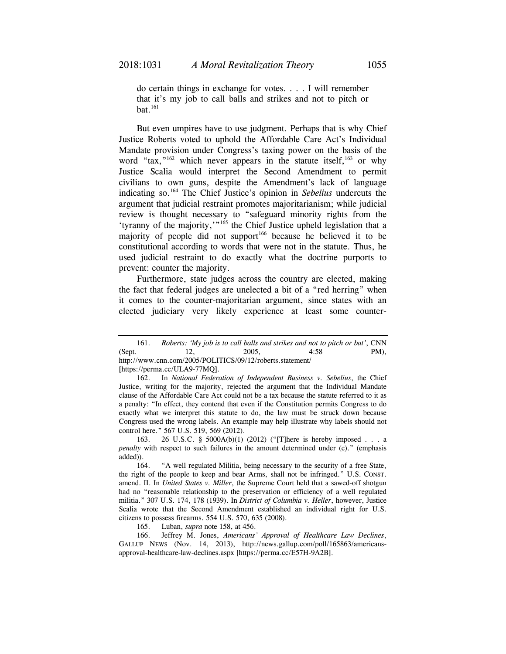do certain things in exchange for votes. . . . I will remember that it's my job to call balls and strikes and not to pitch or  $bat.<sup>161</sup>$ 

But even umpires have to use judgment. Perhaps that is why Chief Justice Roberts voted to uphold the Affordable Care Act's Individual Mandate provision under Congress's taxing power on the basis of the word "tax," $162$  which never appears in the statute itself, $163$  or why Justice Scalia would interpret the Second Amendment to permit civilians to own guns, despite the Amendment's lack of language indicating so.164 The Chief Justice's opinion in *Sebelius* undercuts the argument that judicial restraint promotes majoritarianism; while judicial review is thought necessary to "safeguard minority rights from the 'tyranny of the majority,'"<sup>165</sup> the Chief Justice upheld legislation that a majority of people did not support<sup>166</sup> because he believed it to be constitutional according to words that were not in the statute. Thus, he used judicial restraint to do exactly what the doctrine purports to prevent: counter the majority.

Furthermore, state judges across the country are elected, making the fact that federal judges are unelected a bit of a "red herring" when it comes to the counter-majoritarian argument, since states with an elected judiciary very likely experience at least some counter-

165. Luban, *supra* note 158, at 456.

 166. Jeffrey M. Jones, *Americans' Approval of Healthcare Law Declines*, GALLUP NEWS (Nov. 14, 2013), http://news.gallup.com/poll/165863/americansapproval-healthcare-law-declines.aspx [https://perma.cc/E57H-9A2B].

 <sup>161.</sup> *Roberts: 'My job is to call balls and strikes and not to pitch or bat'*, CNN (Sept. 12, 2005, 4:58 PM), http://www.cnn.com/2005/POLITICS/09/12/roberts.statement/ [https://perma.cc/ULA9-77MQ].

 <sup>162.</sup> In *National Federation of Independent Business v. Sebelius*, the Chief Justice, writing for the majority, rejected the argument that the Individual Mandate clause of the Affordable Care Act could not be a tax because the statute referred to it as a penalty: "In effect, they contend that even if the Constitution permits Congress to do exactly what we interpret this statute to do, the law must be struck down because Congress used the wrong labels. An example may help illustrate why labels should not control here." 567 U.S. 519, 569 (2012).

 <sup>163. 26</sup> U.S.C. § 5000A(b)(1) (2012) ("[T]here is hereby imposed . . . a *penalty* with respect to such failures in the amount determined under (c)." (emphasis added)).

 <sup>164. &</sup>quot;A well regulated Militia, being necessary to the security of a free State, the right of the people to keep and bear Arms, shall not be infringed." U.S. CONST. amend. II. In *United States v. Miller*, the Supreme Court held that a sawed-off shotgun had no "reasonable relationship to the preservation or efficiency of a well regulated militia." 307 U.S. 174, 178 (1939). In *District of Columbia v. Heller*, however, Justice Scalia wrote that the Second Amendment established an individual right for U.S. citizens to possess firearms. 554 U.S. 570, 635 (2008).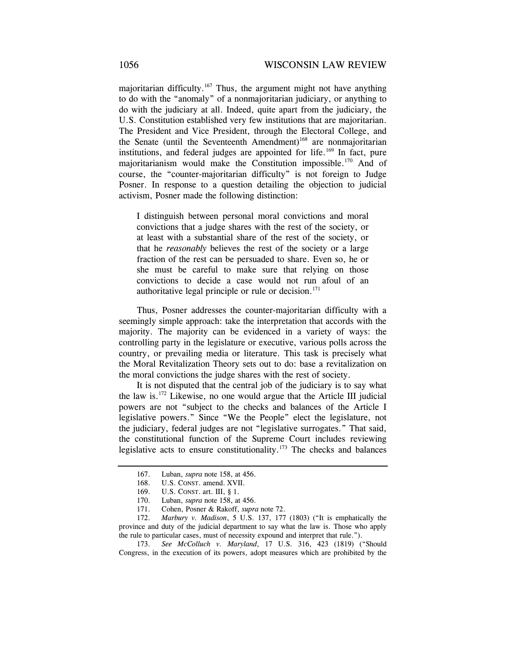majoritarian difficulty.<sup>167</sup> Thus, the argument might not have anything to do with the "anomaly" of a nonmajoritarian judiciary, or anything to do with the judiciary at all. Indeed, quite apart from the judiciary, the U.S. Constitution established very few institutions that are majoritarian. The President and Vice President, through the Electoral College, and the Senate (until the Seventeenth Amendment)<sup>168</sup> are nonmajoritarian institutions, and federal judges are appointed for life.<sup>169</sup> In fact, pure majoritarianism would make the Constitution impossible.<sup>170</sup> And of course, the "counter-majoritarian difficulty" is not foreign to Judge Posner. In response to a question detailing the objection to judicial activism, Posner made the following distinction:

I distinguish between personal moral convictions and moral convictions that a judge shares with the rest of the society, or at least with a substantial share of the rest of the society, or that he *reasonably* believes the rest of the society or a large fraction of the rest can be persuaded to share. Even so, he or she must be careful to make sure that relying on those convictions to decide a case would not run afoul of an authoritative legal principle or rule or decision. $171$ 

Thus, Posner addresses the counter-majoritarian difficulty with a seemingly simple approach: take the interpretation that accords with the majority. The majority can be evidenced in a variety of ways: the controlling party in the legislature or executive, various polls across the country, or prevailing media or literature. This task is precisely what the Moral Revitalization Theory sets out to do: base a revitalization on the moral convictions the judge shares with the rest of society.

It is not disputed that the central job of the judiciary is to say what the law is.172 Likewise, no one would argue that the Article III judicial powers are not "subject to the checks and balances of the Article I legislative powers." Since "We the People" elect the legislature, not the judiciary, federal judges are not "legislative surrogates." That said, the constitutional function of the Supreme Court includes reviewing legislative acts to ensure constitutionality.173 The checks and balances

 173. *See McColluch v. Maryland*, 17 U.S. 316, 423 (1819) ("Should Congress, in the execution of its powers, adopt measures which are prohibited by the

 <sup>167.</sup> Luban, *supra* note 158, at 456.

 <sup>168.</sup> U.S. CONST. amend. XVII.

 <sup>169.</sup> U.S. CONST. art. III, § 1.

 <sup>170.</sup> Luban, *supra* note 158, at 456.

 <sup>171.</sup> Cohen, Posner & Rakoff, *supra* note 72.

 <sup>172.</sup> *Marbury v. Madison*, 5 U.S. 137, 177 (1803) ("It is emphatically the province and duty of the judicial department to say what the law is. Those who apply the rule to particular cases, must of necessity expound and interpret that rule.").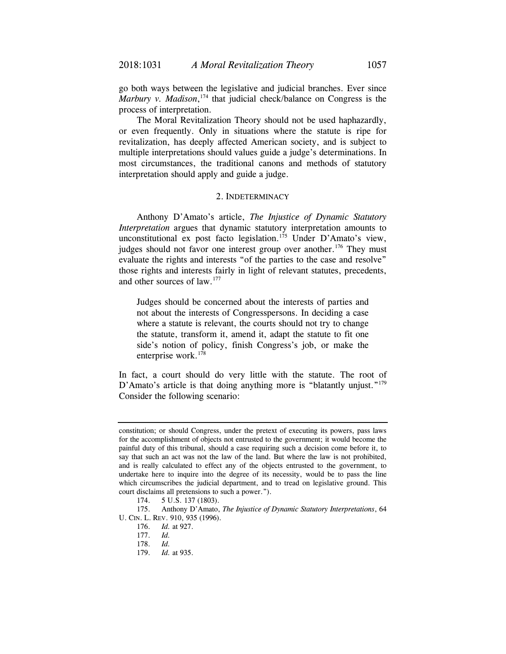go both ways between the legislative and judicial branches. Ever since Marbury v. Madison,<sup>174</sup> that judicial check/balance on Congress is the process of interpretation.

The Moral Revitalization Theory should not be used haphazardly, or even frequently. Only in situations where the statute is ripe for revitalization, has deeply affected American society, and is subject to multiple interpretations should values guide a judge's determinations. In most circumstances, the traditional canons and methods of statutory interpretation should apply and guide a judge.

#### 2. INDETERMINACY

Anthony D'Amato's article, *The Injustice of Dynamic Statutory Interpretation* argues that dynamic statutory interpretation amounts to unconstitutional ex post facto legislation.<sup>175</sup> Under D'Amato's view, judges should not favor one interest group over another.<sup>176</sup> They must evaluate the rights and interests "of the parties to the case and resolve" those rights and interests fairly in light of relevant statutes, precedents, and other sources of law.177

Judges should be concerned about the interests of parties and not about the interests of Congresspersons. In deciding a case where a statute is relevant, the courts should not try to change the statute, transform it, amend it, adapt the statute to fit one side's notion of policy, finish Congress's job, or make the enterprise work. $178$ 

In fact, a court should do very little with the statute. The root of D'Amato's article is that doing anything more is "blatantly unjust."<sup>179</sup> Consider the following scenario:

constitution; or should Congress, under the pretext of executing its powers, pass laws for the accomplishment of objects not entrusted to the government; it would become the painful duty of this tribunal, should a case requiring such a decision come before it, to say that such an act was not the law of the land. But where the law is not prohibited, and is really calculated to effect any of the objects entrusted to the government, to undertake here to inquire into the degree of its necessity, would be to pass the line which circumscribes the judicial department, and to tread on legislative ground. This court disclaims all pretensions to such a power.").

<sup>174. 5</sup> U.S. 137 (1803).

 <sup>175.</sup> Anthony D'Amato, *The Injustice of Dynamic Statutory Interpretations*, 64 U. CIN. L. REV. 910, 935 (1996).

 <sup>176.</sup> *Id.* at 927.

 <sup>177.</sup> *Id.* 

 <sup>178.</sup> *Id.* 

 <sup>179.</sup> *Id.* at 935.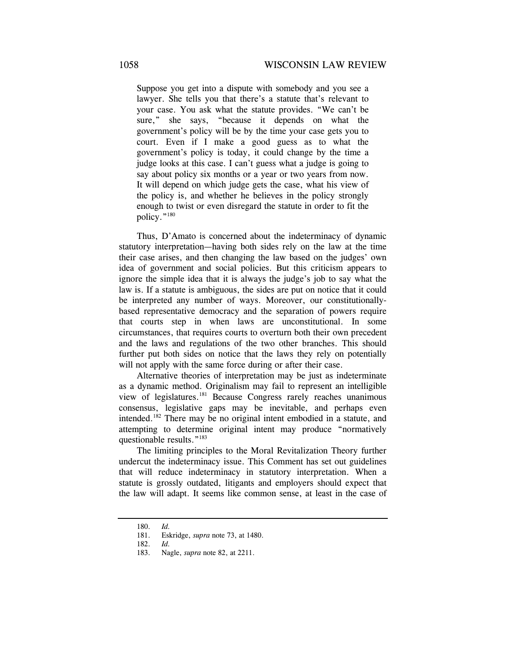Suppose you get into a dispute with somebody and you see a lawyer. She tells you that there's a statute that's relevant to your case. You ask what the statute provides. "We can't be sure," she says, "because it depends on what the government's policy will be by the time your case gets you to court. Even if I make a good guess as to what the government's policy is today, it could change by the time a judge looks at this case. I can't guess what a judge is going to say about policy six months or a year or two years from now. It will depend on which judge gets the case, what his view of the policy is, and whether he believes in the policy strongly enough to twist or even disregard the statute in order to fit the policy."180

Thus, D'Amato is concerned about the indeterminacy of dynamic statutory interpretation—having both sides rely on the law at the time their case arises, and then changing the law based on the judges' own idea of government and social policies. But this criticism appears to ignore the simple idea that it is always the judge's job to say what the law is. If a statute is ambiguous, the sides are put on notice that it could be interpreted any number of ways. Moreover, our constitutionallybased representative democracy and the separation of powers require that courts step in when laws are unconstitutional. In some circumstances, that requires courts to overturn both their own precedent and the laws and regulations of the two other branches. This should further put both sides on notice that the laws they rely on potentially will not apply with the same force during or after their case.

Alternative theories of interpretation may be just as indeterminate as a dynamic method. Originalism may fail to represent an intelligible view of legislatures.181 Because Congress rarely reaches unanimous consensus, legislative gaps may be inevitable, and perhaps even intended.182 There may be no original intent embodied in a statute, and attempting to determine original intent may produce "normatively questionable results."<sup>183</sup>

The limiting principles to the Moral Revitalization Theory further undercut the indeterminacy issue. This Comment has set out guidelines that will reduce indeterminacy in statutory interpretation. When a statute is grossly outdated, litigants and employers should expect that the law will adapt. It seems like common sense, at least in the case of

 <sup>180.</sup> *Id.* 

 <sup>181.</sup> Eskridge, *supra* note 73, at 1480.

 <sup>182.</sup> *Id.*

 <sup>183.</sup> Nagle, *supra* note 82, at 2211.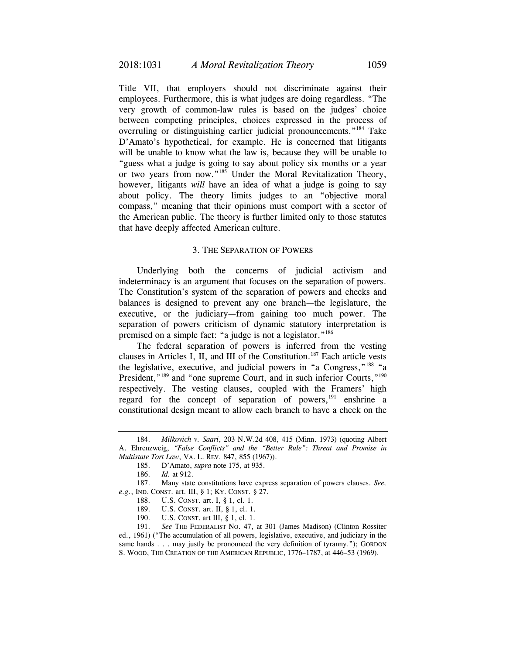Title VII, that employers should not discriminate against their employees. Furthermore, this is what judges are doing regardless. "The very growth of common-law rules is based on the judges' choice between competing principles, choices expressed in the process of overruling or distinguishing earlier judicial pronouncements."184 Take D'Amato's hypothetical, for example. He is concerned that litigants will be unable to know what the law is, because they will be unable to "guess what a judge is going to say about policy six months or a year or two years from now."185 Under the Moral Revitalization Theory, however, litigants *will* have an idea of what a judge is going to say about policy. The theory limits judges to an "objective moral compass," meaning that their opinions must comport with a sector of the American public. The theory is further limited only to those statutes that have deeply affected American culture.

#### 3. THE SEPARATION OF POWERS

Underlying both the concerns of judicial activism and indeterminacy is an argument that focuses on the separation of powers. The Constitution's system of the separation of powers and checks and balances is designed to prevent any one branch—the legislature, the executive, or the judiciary—from gaining too much power. The separation of powers criticism of dynamic statutory interpretation is premised on a simple fact: "a judge is not a legislator."186

The federal separation of powers is inferred from the vesting clauses in Articles I, II, and III of the Constitution.<sup>187</sup> Each article vests the legislative, executive, and judicial powers in "a Congress,"188 "a President,"<sup>189</sup> and "one supreme Court, and in such inferior Courts,"<sup>190</sup> respectively. The vesting clauses, coupled with the Framers' high regard for the concept of separation of powers, $191$  enshrine a constitutional design meant to allow each branch to have a check on the

 187. Many state constitutions have express separation of powers clauses. *See, e.g.*, IND. CONST. art. III, § 1; KY. CONST. § 27.

 <sup>184.</sup> *Milkovich v. Saari*, 203 N.W.2d 408, 415 (Minn. 1973) (quoting Albert A. Ehrenzweig, *"False Conflicts" and the "Better Rule": Threat and Promise in Multistate Tort Law*, VA. L. REV. 847, 855 (1967)).

 <sup>185.</sup> D'Amato, *supra* note 175, at 935.

 <sup>186.</sup> *Id.* at 912.

 <sup>188.</sup> U.S. CONST. art. I, § 1, cl. 1.

 <sup>189.</sup> U.S. CONST. art. II, § 1, cl. 1.

 <sup>190.</sup> U.S. CONST. art III, § 1, cl. 1.

 <sup>191.</sup> *See* THE FEDERALIST NO. 47, at 301 (James Madison) (Clinton Rossiter ed., 1961) ("The accumulation of all powers, legislative, executive, and judiciary in the same hands . . . may justly be pronounced the very definition of tyranny."); GORDON S. WOOD, THE CREATION OF THE AMERICAN REPUBLIC, 1776–1787, at 446–53 (1969).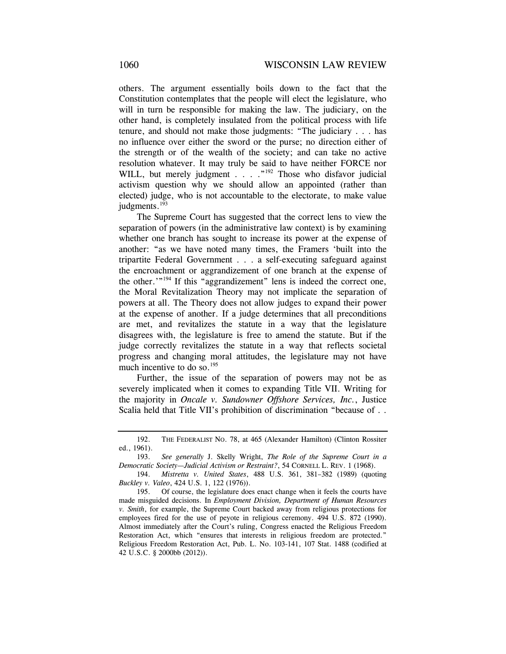others. The argument essentially boils down to the fact that the Constitution contemplates that the people will elect the legislature, who will in turn be responsible for making the law. The judiciary, on the other hand, is completely insulated from the political process with life tenure, and should not make those judgments: "The judiciary . . . has no influence over either the sword or the purse; no direction either of the strength or of the wealth of the society; and can take no active resolution whatever. It may truly be said to have neither FORCE nor WILL, but merely judgment . . . . "<sup>192</sup> Those who disfavor judicial activism question why we should allow an appointed (rather than elected) judge, who is not accountable to the electorate, to make value judgments.<sup>193</sup>

The Supreme Court has suggested that the correct lens to view the separation of powers (in the administrative law context) is by examining whether one branch has sought to increase its power at the expense of another: "as we have noted many times, the Framers 'built into the tripartite Federal Government . . . a self-executing safeguard against the encroachment or aggrandizement of one branch at the expense of the other.'"<sup>194</sup> If this "aggrandizement" lens is indeed the correct one, the Moral Revitalization Theory may not implicate the separation of powers at all. The Theory does not allow judges to expand their power at the expense of another. If a judge determines that all preconditions are met, and revitalizes the statute in a way that the legislature disagrees with, the legislature is free to amend the statute. But if the judge correctly revitalizes the statute in a way that reflects societal progress and changing moral attitudes, the legislature may not have much incentive to do so.<sup>195</sup>

Further, the issue of the separation of powers may not be as severely implicated when it comes to expanding Title VII. Writing for the majority in *Oncale v. Sundowner Offshore Services, Inc.*, Justice Scalia held that Title VII's prohibition of discrimination "because of . .

 <sup>192.</sup> THE FEDERALIST NO. 78, at 465 (Alexander Hamilton) (Clinton Rossiter ed., 1961).

 <sup>193.</sup> *See generally* J. Skelly Wright, *The Role of the Supreme Court in a Democratic Society—Judicial Activism or Restraint?*, 54 CORNELL L. REV. 1 (1968).

 <sup>194.</sup> *Mistretta v. United States*, 488 U.S. 361, 381–382 (1989) (quoting *Buckley v. Valeo*, 424 U.S. 1, 122 (1976)).

 <sup>195.</sup> Of course, the legislature does enact change when it feels the courts have made misguided decisions. In *Employment Division, Department of Human Resources v. Smith*, for example, the Supreme Court backed away from religious protections for employees fired for the use of peyote in religious ceremony. 494 U.S. 872 (1990). Almost immediately after the Court's ruling, Congress enacted the Religious Freedom Restoration Act, which "ensures that interests in religious freedom are protected." Religious Freedom Restoration Act, Pub. L. No. 103-141, 107 Stat. 1488 (codified at 42 U.S.C. § 2000bb (2012)).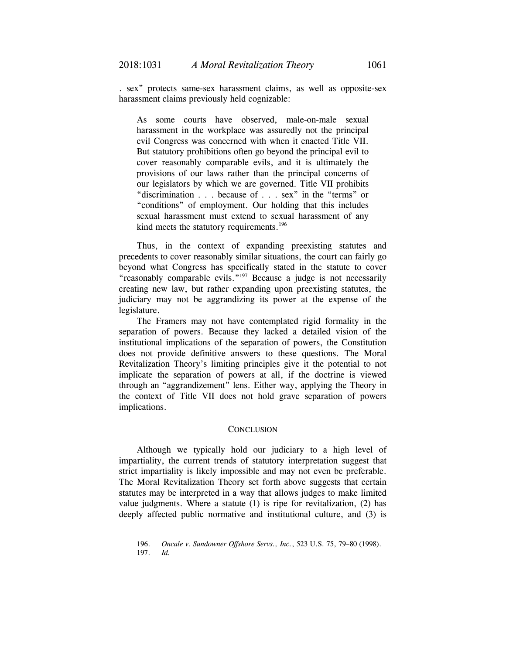. sex" protects same-sex harassment claims, as well as opposite-sex harassment claims previously held cognizable:

As some courts have observed, male-on-male sexual harassment in the workplace was assuredly not the principal evil Congress was concerned with when it enacted Title VII. But statutory prohibitions often go beyond the principal evil to cover reasonably comparable evils, and it is ultimately the provisions of our laws rather than the principal concerns of our legislators by which we are governed. Title VII prohibits "discrimination . . . because of . . . sex" in the "terms" or "conditions" of employment. Our holding that this includes sexual harassment must extend to sexual harassment of any kind meets the statutory requirements.<sup>196</sup>

Thus, in the context of expanding preexisting statutes and precedents to cover reasonably similar situations, the court can fairly go beyond what Congress has specifically stated in the statute to cover "reasonably comparable evils."<sup>197</sup> Because a judge is not necessarily creating new law, but rather expanding upon preexisting statutes, the judiciary may not be aggrandizing its power at the expense of the legislature.

The Framers may not have contemplated rigid formality in the separation of powers. Because they lacked a detailed vision of the institutional implications of the separation of powers, the Constitution does not provide definitive answers to these questions. The Moral Revitalization Theory's limiting principles give it the potential to not implicate the separation of powers at all, if the doctrine is viewed through an "aggrandizement" lens. Either way, applying the Theory in the context of Title VII does not hold grave separation of powers implications.

#### **CONCLUSION**

Although we typically hold our judiciary to a high level of impartiality, the current trends of statutory interpretation suggest that strict impartiality is likely impossible and may not even be preferable. The Moral Revitalization Theory set forth above suggests that certain statutes may be interpreted in a way that allows judges to make limited value judgments. Where a statute (1) is ripe for revitalization, (2) has deeply affected public normative and institutional culture, and (3) is

 <sup>196.</sup> *Oncale v. Sundowner Offshore Servs., Inc.*, 523 U.S. 75, 79–80 (1998).

 <sup>197.</sup> *Id.*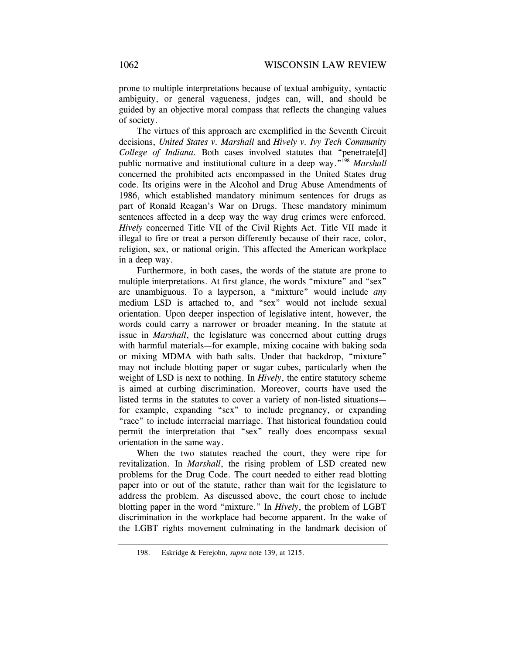prone to multiple interpretations because of textual ambiguity, syntactic ambiguity, or general vagueness, judges can, will, and should be guided by an objective moral compass that reflects the changing values of society.

The virtues of this approach are exemplified in the Seventh Circuit decisions, *United States v. Marshall* and *Hively v. Ivy Tech Community College of Indiana*. Both cases involved statutes that "penetrate[d] public normative and institutional culture in a deep way."198 *Marshall* concerned the prohibited acts encompassed in the United States drug code. Its origins were in the Alcohol and Drug Abuse Amendments of 1986, which established mandatory minimum sentences for drugs as part of Ronald Reagan's War on Drugs. These mandatory minimum sentences affected in a deep way the way drug crimes were enforced. *Hively* concerned Title VII of the Civil Rights Act. Title VII made it illegal to fire or treat a person differently because of their race, color, religion, sex, or national origin. This affected the American workplace in a deep way.

Furthermore, in both cases, the words of the statute are prone to multiple interpretations. At first glance, the words "mixture" and "sex" are unambiguous. To a layperson, a "mixture" would include *any*  medium LSD is attached to, and "sex" would not include sexual orientation. Upon deeper inspection of legislative intent, however, the words could carry a narrower or broader meaning. In the statute at issue in *Marshall*, the legislature was concerned about cutting drugs with harmful materials—for example, mixing cocaine with baking soda or mixing MDMA with bath salts. Under that backdrop, "mixture" may not include blotting paper or sugar cubes, particularly when the weight of LSD is next to nothing. In *Hively*, the entire statutory scheme is aimed at curbing discrimination. Moreover, courts have used the listed terms in the statutes to cover a variety of non-listed situations for example, expanding "sex" to include pregnancy, or expanding "race" to include interracial marriage. That historical foundation could permit the interpretation that "sex" really does encompass sexual orientation in the same way.

When the two statutes reached the court, they were ripe for revitalization. In *Marshall*, the rising problem of LSD created new problems for the Drug Code. The court needed to either read blotting paper into or out of the statute, rather than wait for the legislature to address the problem. As discussed above, the court chose to include blotting paper in the word "mixture." In *Hively*, the problem of LGBT discrimination in the workplace had become apparent. In the wake of the LGBT rights movement culminating in the landmark decision of

 <sup>198.</sup> Eskridge & Ferejohn, *supra* note 139, at 1215.